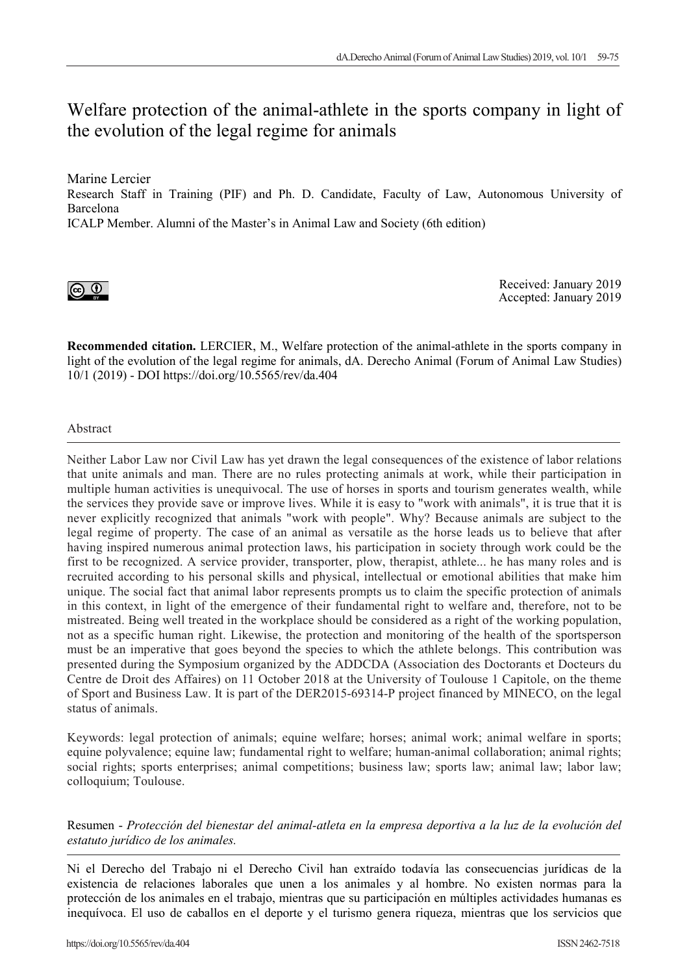# Welfare protection of the animal-athlete in the sports company in light of the evolution of the legal regime for animals

Marine Lercier

Research Staff in Training (PIF) and Ph. D. Candidate, Faculty of Law, Autonomous University of Barcelona

ICALP Member. Alumni of the Master's in Animal Law and Society (6th edition)



Received: January 2019 Accepted: January 2019

**Recommended citation.** LERCIER, M., Welfare protection of the animal-athlete in the sports company in light of the evolution of the legal regime for animals, dA. Derecho Animal (Forum of Animal Law Studies) 10/1 (2019) - DOI https://doi.org/10.5565/rev/da.404

Abstract

Neither Labor Law nor Civil Law has yet drawn the legal consequences of the existence of labor relations that unite animals and man. There are no rules protecting animals at work, while their participation in multiple human activities is unequivocal. The use of horses in sports and tourism generates wealth, while the services they provide save or improve lives. While it is easy to "work with animals", it is true that it is never explicitly recognized that animals "work with people". Why? Because animals are subject to the legal regime of property. The case of an animal as versatile as the horse leads us to believe that after having inspired numerous animal protection laws, his participation in society through work could be the first to be recognized. A service provider, transporter, plow, therapist, athlete... he has many roles and is recruited according to his personal skills and physical, intellectual or emotional abilities that make him unique. The social fact that animal labor represents prompts us to claim the specific protection of animals in this context, in light of the emergence of their fundamental right to welfare and, therefore, not to be mistreated. Being well treated in the workplace should be considered as a right of the working population, not as a specific human right. Likewise, the protection and monitoring of the health of the sportsperson must be an imperative that goes beyond the species to which the athlete belongs. This contribution was presented during the Symposium organized by the ADDCDA (Association des Doctorants et Docteurs du Centre de Droit des Affaires) on 11 October 2018 at the University of Toulouse 1 Capitole, on the theme of Sport and Business Law. It is part of the DER2015-69314-P project financed by MINECO, on the legal status of animals.

Keywords: legal protection of animals; equine welfare; horses; animal work; animal welfare in sports; equine polyvalence; equine law; fundamental right to welfare; human-animal collaboration; animal rights; social rights; sports enterprises; animal competitions; business law; sports law; animal law; labor law; colloquium; Toulouse.

Resumen - *Protección del bienestar del animal-atleta en la empresa deportiva a la luz de la evolución del estatuto jurídico de los animales.*

Ni el Derecho del Trabajo ni el Derecho Civil han extraído todavía las consecuencias jurídicas de la existencia de relaciones laborales que unen a los animales y al hombre. No existen normas para la protección de los animales en el trabajo, mientras que su participación en múltiples actividades humanas es inequívoca. El uso de caballos en el deporte y el turismo genera riqueza, mientras que los servicios que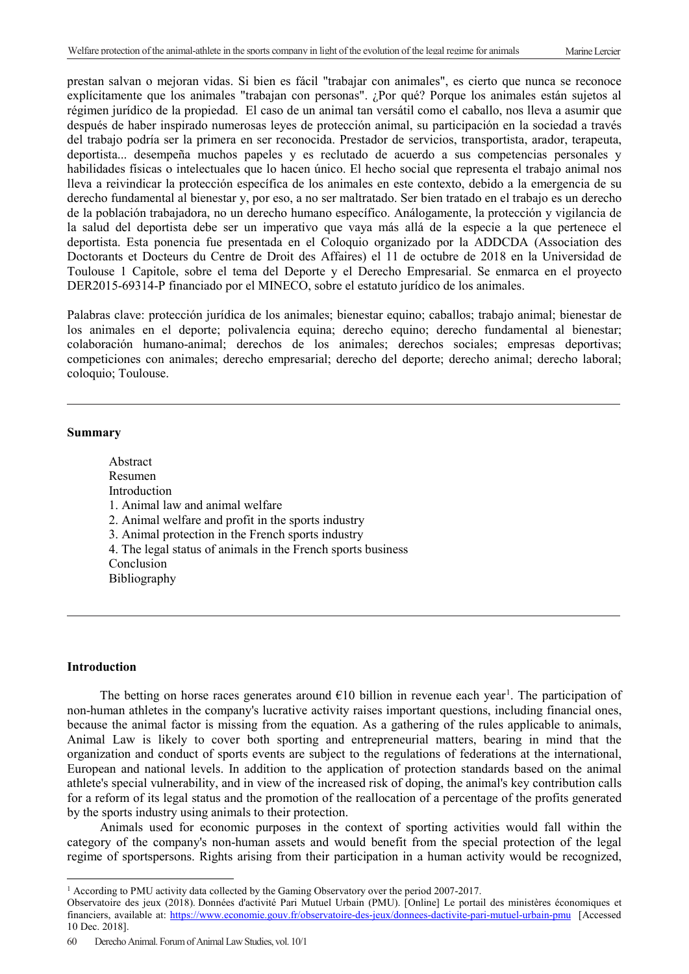prestan salvan o mejoran vidas. Si bien es fácil "trabajar con animales", es cierto que nunca se reconoce explícitamente que los animales "trabajan con personas". ¿Por qué? Porque los animales están sujetos al régimen jurídico de la propiedad. El caso de un animal tan versátil como el caballo, nos lleva a asumir que después de haber inspirado numerosas leyes de protección animal, su participación en la sociedad a través del trabajo podría ser la primera en ser reconocida. Prestador de servicios, transportista, arador, terapeuta, deportista... desempeña muchos papeles y es reclutado de acuerdo a sus competencias personales y habilidades físicas o intelectuales que lo hacen único. El hecho social que representa el trabajo animal nos lleva a reivindicar la protección específica de los animales en este contexto, debido a la emergencia de su derecho fundamental al bienestar y, por eso, a no ser maltratado. Ser bien tratado en el trabajo es un derecho de la población trabajadora, no un derecho humano específico. Análogamente, la protección y vigilancia de la salud del deportista debe ser un imperativo que vaya más allá de la especie a la que pertenece el deportista. Esta ponencia fue presentada en el Coloquio organizado por la ADDCDA (Association des Doctorants et Docteurs du Centre de Droit des Affaires) el 11 de octubre de 2018 en la Universidad de Toulouse 1 Capitole, sobre el tema del Deporte y el Derecho Empresarial. Se enmarca en el proyecto DER2015-69314-P financiado por el MINECO, sobre el estatuto jurídico de los animales.

Palabras clave: protección jurídica de los animales; bienestar equino; caballos; trabajo animal; bienestar de los animales en el deporte; polivalencia equina; derecho equino; derecho fundamental al bienestar; colaboración humano-animal; derechos de los animales; derechos sociales; empresas deportivas; competiciones con animales; derecho empresarial; derecho del deporte; derecho animal; derecho laboral; coloquio; Toulouse.

#### **Summary**

Abstract Resumen Introduction 1. Animal law and animal welfare 2. Animal welfare and profit in the sports industry 3. Animal protection in the French sports industry 4. The legal status of animals in the French sports business Conclusion Bibliography

#### **Introduction**

 $\overline{a}$ 

The betting on horse races generates around  $\epsilon$ [1](#page-1-0)0 billion in revenue each year<sup>1</sup>. The participation of non-human athletes in the company's lucrative activity raises important questions, including financial ones, because the animal factor is missing from the equation. As a gathering of the rules applicable to animals, Animal Law is likely to cover both sporting and entrepreneurial matters, bearing in mind that the organization and conduct of sports events are subject to the regulations of federations at the international, European and national levels. In addition to the application of protection standards based on the animal athlete's special vulnerability, and in view of the increased risk of doping, the animal's key contribution calls for a reform of its legal status and the promotion of the reallocation of a percentage of the profits generated by the sports industry using animals to their protection.

Animals used for economic purposes in the context of sporting activities would fall within the category of the company's non-human assets and would benefit from the special protection of the legal regime of sportspersons. Rights arising from their participation in a human activity would be recognized,

<span id="page-1-0"></span><sup>&</sup>lt;sup>1</sup> According to PMU activity data collected by the Gaming Observatory over the period 2007-2017.

Observatoire des jeux (2018). Données d'activité Pari Mutuel Urbain (PMU). [Online] Le portail des ministères économiques et financiers, available at:<https://www.economie.gouv.fr/observatoire-des-jeux/donnees-dactivite-pari-mutuel-urbain-pmu>[Accessed 10 Dec. 2018].

Derecho Animal. Forum of Animal Law Studies, vol. 10/1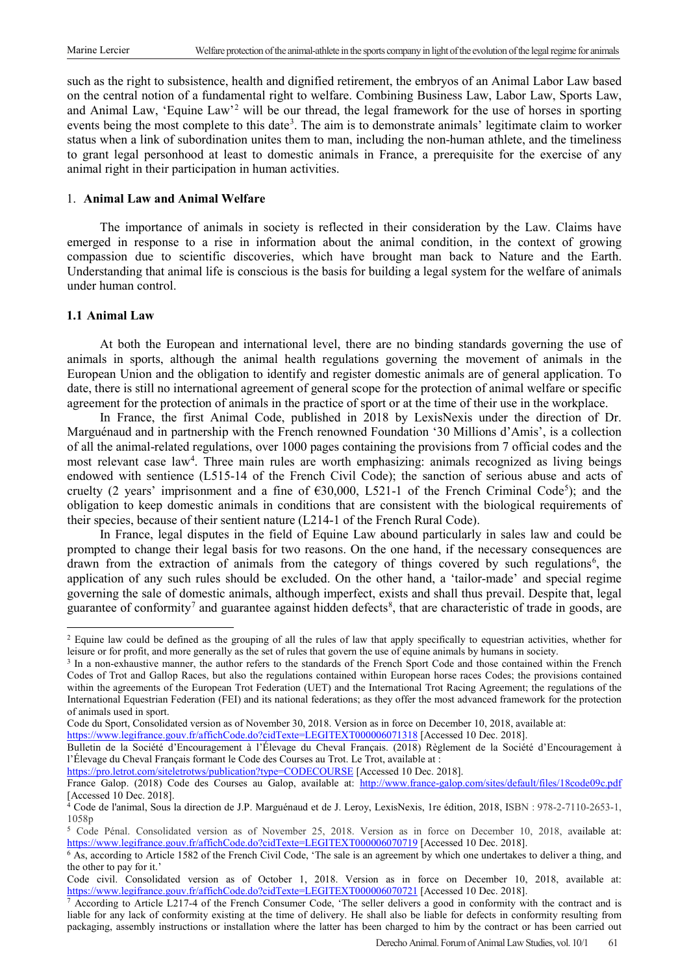such as the right to subsistence, health and dignified retirement, the embryos of an Animal Labor Law based on the central notion of a fundamental right to welfare. Combining Business Law, Labor Law, Sports Law, and Animal Law, 'Equine Law'[2](#page-2-0) will be our thread, the legal framework for the use of horses in sporting events being the most complete to this date<sup>[3](#page-2-1)</sup>. The aim is to demonstrate animals' legitimate claim to worker status when a link of subordination unites them to man, including the non-human athlete, and the timeliness to grant legal personhood at least to domestic animals in France, a prerequisite for the exercise of any animal right in their participation in human activities.

## 1. **Animal Law and Animal Welfare**

The importance of animals in society is reflected in their consideration by the Law. Claims have emerged in response to a rise in information about the animal condition, in the context of growing compassion due to scientific discoveries, which have brought man back to Nature and the Earth. Understanding that animal life is conscious is the basis for building a legal system for the welfare of animals under human control.

## **1.1 Animal Law**

 $\overline{a}$ 

At both the European and international level, there are no binding standards governing the use of animals in sports, although the animal health regulations governing the movement of animals in the European Union and the obligation to identify and register domestic animals are of general application. To date, there is still no international agreement of general scope for the protection of animal welfare or specific agreement for the protection of animals in the practice of sport or at the time of their use in the workplace.

In France, the first Animal Code, published in 2018 by LexisNexis under the direction of Dr. Marguénaud and in partnership with the French renowned Foundation '30 Millions d'Amis', is a collection of all the animal-related regulations, over 1000 pages containing the provisions from 7 official codes and the most relevant case law<sup>[4](#page-2-2)</sup>. Three main rules are worth emphasizing: animals recognized as living beings endowed with sentience (L515-14 of the French Civil Code); the sanction of serious abuse and acts of cruelty (2 years' imprisonment and a fine of  $\epsilon$ 30,000, L[5](#page-2-3)21-1 of the French Criminal Code<sup>5</sup>); and the obligation to keep domestic animals in conditions that are consistent with the biological requirements of their species, because of their sentient nature (L214-1 of the French Rural Code).

In France, legal disputes in the field of Equine Law abound particularly in sales law and could be prompted to change their legal basis for two reasons. On the one hand, if the necessary consequences are drawn from the extraction of animals from the category of things covered by such regulations<sup>[6](#page-2-4)</sup>, the application of any such rules should be excluded. On the other hand, a 'tailor-made' and special regime governing the sale of domestic animals, although imperfect, exists and shall thus prevail. Despite that, legal guarantee of conformity<sup>7</sup> and guarantee against hidden defects<sup>[8](#page-2-0)</sup>, that are characteristic of trade in goods, are

<https://www.legifrance.gouv.fr/affichCode.do?cidTexte=LEGITEXT000006071318> [Accessed 10 Dec. 2018].

<https://pro.letrot.com/siteletrotws/publication?type=CODECOURSE> [Accessed 10 Dec. 2018].

<span id="page-2-0"></span> $2$  Equine law could be defined as the grouping of all the rules of law that apply specifically to equestrian activities, whether for leisure or for profit, and more generally as the set of rules that govern the use of equine animals by humans in society.

<span id="page-2-1"></span><sup>&</sup>lt;sup>3</sup> In a non-exhaustive manner, the author refers to the standards of the French Sport Code and those contained within the French Codes of Trot and Gallop Races, but also the regulations contained within European horse races Codes; the provisions contained within the agreements of the European Trot Federation (UET) and the International Trot Racing Agreement; the regulations of the International Equestrian Federation (FEI) and its national federations; as they offer the most advanced framework for the protection of animals used in sport.

Code du Sport, Consolidated version as of November 30, 2018. Version as in force on December 10, 2018, available at:

Bulletin de la Société d'Encouragement à l'Élevage du Cheval Français. (2018) Règlement de la Société d'Encouragement à l'Élevage du Cheval Français formant le Code des Courses au Trot. Le Trot, available at :

France Galop. (2018) Code des Courses au Galop, available at: <http://www.france-galop.com/sites/default/files/18code09c.pdf> [Accessed 10 Dec. 2018].

<span id="page-2-2"></span><sup>&</sup>lt;sup>4</sup> Code de l'animal, Sous la direction de J.P. Marguénaud et de J. Leroy, LexisNexis, 1re édition, 2018, ISBN : 978-2-7110-2653-1, 1058p

<span id="page-2-3"></span><sup>5</sup> Code Pénal. Consolidated version as of November 25, 2018. Version as in force on December 10, 2018, available at: <https://www.legifrance.gouv.fr/affichCode.do?cidTexte=LEGITEXT000006070719> [Accessed 10 Dec. 2018].

<span id="page-2-4"></span><sup>&</sup>lt;sup>6</sup> As, according to Article 1582 of the French Civil Code, 'The sale is an agreement by which one undertakes to deliver a thing, and the other to pay for it.'

Code civil. Consolidated version as of October 1, 2018. Version as in force on December 10, 2018, available at: <https://www.legifrance.gouv.fr/affichCode.do?cidTexte=LEGITEXT000006070721> [Accessed 10 Dec. 2018].

<span id="page-2-5"></span><sup>7</sup> According to Article L217-4 of the French Consumer Code, 'The seller delivers a good in conformity with the contract and is liable for any lack of conformity existing at the time of delivery. He shall also be liable for defects in conformity resulting from packaging, assembly instructions or installation where the latter has been charged to him by the contract or has been carried out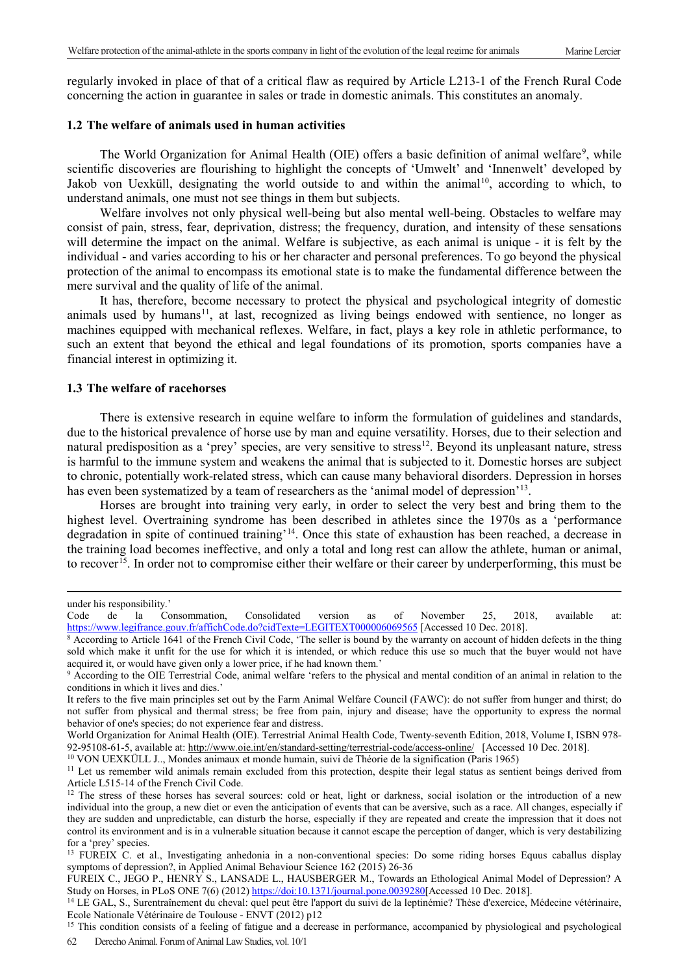regularly invoked in place of that of a critical flaw as required by Article L213-1 of the French Rural Code concerning the action in guarantee in sales or trade in domestic animals. This constitutes an anomaly.

## **1.2 The welfare of animals used in human activities**

The World Organization for Animal Health (OIE) offers a basic definition of animal welfare<sup>[9](#page-3-0)</sup>, while scientific discoveries are flourishing to highlight the concepts of 'Umwelt' and 'Innenwelt' developed by Jakob von Uexküll, designating the world outside to and within the animal<sup>10</sup>, according to which, to understand animals, one must not see things in them but subjects.

Welfare involves not only physical well-being but also mental well-being. Obstacles to welfare may consist of pain, stress, fear, deprivation, distress; the frequency, duration, and intensity of these sensations will determine the impact on the animal. Welfare is subjective, as each animal is unique - it is felt by the individual - and varies according to his or her character and personal preferences. To go beyond the physical protection of the animal to encompass its emotional state is to make the fundamental difference between the mere survival and the quality of life of the animal.

It has, therefore, become necessary to protect the physical and psychological integrity of domestic animals used by humans<sup>[11](#page-3-2)</sup>, at last, recognized as living beings endowed with sentience, no longer as machines equipped with mechanical reflexes. Welfare, in fact, plays a key role in athletic performance, to such an extent that beyond the ethical and legal foundations of its promotion, sports companies have a financial interest in optimizing it.

### **1.3 The welfare of racehorses**

There is extensive research in equine welfare to inform the formulation of guidelines and standards, due to the historical prevalence of horse use by man and equine versatility. Horses, due to their selection and natural predisposition as a 'prey' species, are very sensitive to stress<sup>12</sup>. Beyond its unpleasant nature, stress is harmful to the immune system and weakens the animal that is subjected to it. Domestic horses are subject to chronic, potentially work-related stress, which can cause many behavioral disorders. Depression in horses has even been systematized by a team of researchers as the 'animal model of depression'<sup>13</sup>.

Horses are brought into training very early, in order to select the very best and bring them to the highest level. Overtraining syndrome has been described in athletes since the 1970s as a 'performance degradation in spite of continued training'[14](#page-3-5). Once this state of exhaustion has been reached, a decrease in the training load becomes ineffective, and only a total and long rest can allow the athlete, human or animal, to recover<sup>15</sup>. In order not to compromise either their welfare or their career by underperforming, this must be

 $\overline{a}$ 

<span id="page-3-1"></span><sup>10</sup> VON UEXKÜLL J.., Mondes animaux et monde humain, suivi de Théorie de la signification (Paris 1965)

under his responsibility.'

Code de la Consommation, Consolidated version as of November 25, 2018, available at: <https://www.legifrance.gouv.fr/affichCode.do?cidTexte=LEGITEXT000006069565> [Accessed 10 Dec. 2018].

<sup>&</sup>lt;sup>8</sup> According to Article 1641 of the French Civil Code, 'The seller is bound by the warranty on account of hidden defects in the thing sold which make it unfit for the use for which it is intended, or which reduce this use so much that the buyer would not have acquired it, or would have given only a lower price, if he had known them.'

<span id="page-3-0"></span><sup>9</sup> According to the OIE Terrestrial Code, animal welfare 'refers to the physical and mental condition of an animal in relation to the conditions in which it lives and dies.'

It refers to the five main principles set out by the Farm Animal Welfare Council (FAWC): do not suffer from hunger and thirst; do not suffer from physical and thermal stress; be free from pain, injury and disease; have the opportunity to express the normal behavior of one's species; do not experience fear and distress.

World Organization for Animal Health (OIE). Terrestrial Animal Health Code, Twenty-seventh Edition, 2018, Volume I, ISBN 978- 92-95108-61-5, available at[: http://www.oie.int/en/standard-setting/terrestrial-code/access-online/](http://www.oie.int/en/standard-setting/terrestrial-code/access-online/) [Accessed 10 Dec. 2018].

<span id="page-3-2"></span><sup>&</sup>lt;sup>11</sup> Let us remember wild animals remain excluded from this protection, despite their legal status as sentient beings derived from Article L515-14 of the French Civil Code.

<span id="page-3-3"></span><sup>&</sup>lt;sup>12</sup> The stress of these horses has several sources: cold or heat, light or darkness, social isolation or the introduction of a new individual into the group, a new diet or even the anticipation of events that can be aversive, such as a race. All changes, especially if they are sudden and unpredictable, can disturb the horse, especially if they are repeated and create the impression that it does not control its environment and is in a vulnerable situation because it cannot escape the perception of danger, which is very destabilizing for a 'prey' species.

<span id="page-3-4"></span><sup>&</sup>lt;sup>13</sup> FUREIX C. et al., Investigating anhedonia in a non-conventional species: Do some riding horses Equus caballus display symptoms of depression?, in Applied Animal Behaviour Science 162 (2015) 26-36

FUREIX C., JEGO P., HENRY S., LANSADE L., HAUSBERGER M., Towards an Ethological Animal Model of Depression? A Study on Horses, in PLoS ONE 7(6) (2012) [https://doi:10.1371/journal.pone.0039280\[](https://doi:10.1371/journal.pone.0039280)Accessed 10 Dec. 2018].

<span id="page-3-5"></span><sup>14</sup> LE GAL, S., Surentraînement du cheval: quel peut être l'apport du suivi de la leptinémie? Thèse d'exercice, Médecine vétérinaire, Ecole Nationale Vétérinaire de Toulouse - ENVT (2012) p12

<span id="page-3-6"></span><sup>62</sup> Derecho Animal. Forum of Animal Law Studies, vol. 10/1 <sup>15</sup> This condition consists of a feeling of fatigue and a decrease in performance, accompanied by physiological and psychological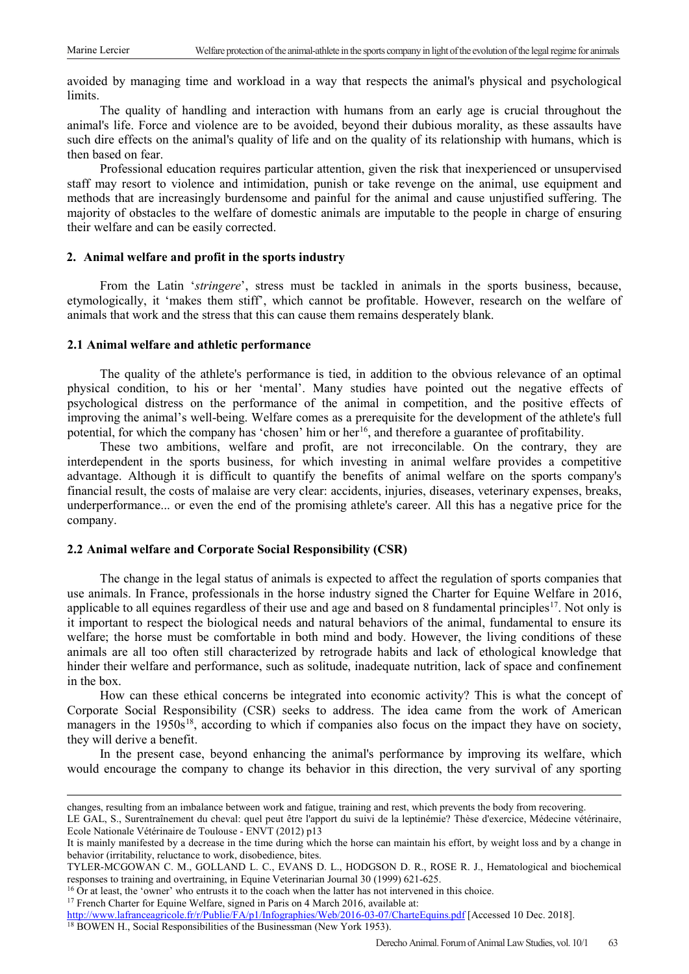avoided by managing time and workload in a way that respects the animal's physical and psychological limits.

The quality of handling and interaction with humans from an early age is crucial throughout the animal's life. Force and violence are to be avoided, beyond their dubious morality, as these assaults have such dire effects on the animal's quality of life and on the quality of its relationship with humans, which is then based on fear.

Professional education requires particular attention, given the risk that inexperienced or unsupervised staff may resort to violence and intimidation, punish or take revenge on the animal, use equipment and methods that are increasingly burdensome and painful for the animal and cause unjustified suffering. The majority of obstacles to the welfare of domestic animals are imputable to the people in charge of ensuring their welfare and can be easily corrected.

## **2. Animal welfare and profit in the sports industry**

From the Latin '*stringere*', stress must be tackled in animals in the sports business, because, etymologically, it 'makes them stiff', which cannot be profitable. However, research on the welfare of animals that work and the stress that this can cause them remains desperately blank.

### **2.1 Animal welfare and athletic performance**

The quality of the athlete's performance is tied, in addition to the obvious relevance of an optimal physical condition, to his or her 'mental'. Many studies have pointed out the negative effects of psychological distress on the performance of the animal in competition, and the positive effects of improving the animal's well-being. Welfare comes as a prerequisite for the development of the athlete's full potential, for which the company has 'chosen' him or her<sup>16</sup>, and therefore a guarantee of profitability.

These two ambitions, welfare and profit, are not irreconcilable. On the contrary, they are interdependent in the sports business, for which investing in animal welfare provides a competitive advantage. Although it is difficult to quantify the benefits of animal welfare on the sports company's financial result, the costs of malaise are very clear: accidents, injuries, diseases, veterinary expenses, breaks, underperformance... or even the end of the promising athlete's career. All this has a negative price for the company.

# **2.2 Animal welfare and Corporate Social Responsibility (CSR)**

The change in the legal status of animals is expected to affect the regulation of sports companies that use animals. In France, professionals in the horse industry signed the Charter for Equine Welfare in 2016, applicable to all equines regardless of their use and age and based on 8 fundamental principles<sup>17</sup>. Not only is it important to respect the biological needs and natural behaviors of the animal, fundamental to ensure its welfare; the horse must be comfortable in both mind and body. However, the living conditions of these animals are all too often still characterized by retrograde habits and lack of ethological knowledge that hinder their welfare and performance, such as solitude, inadequate nutrition, lack of space and confinement in the box.

How can these ethical concerns be integrated into economic activity? This is what the concept of Corporate Social Responsibility (CSR) seeks to address. The idea came from the work of American managers in the 1950s<sup>18</sup>, according to which if companies also focus on the impact they have on society, they will derive a benefit.

In the present case, beyond enhancing the animal's performance by improving its welfare, which would encourage the company to change its behavior in this direction, the very survival of any sporting

changes, resulting from an imbalance between work and fatigue, training and rest, which prevents the body from recovering.

LE GAL, S., Surentraînement du cheval: quel peut être l'apport du suivi de la leptinémie? Thèse d'exercice, Médecine vétérinaire, Ecole Nationale Vétérinaire de Toulouse - ENVT (2012) p13

It is mainly manifested by a decrease in the time during which the horse can maintain his effort, by weight loss and by a change in behavior (irritability, reluctance to work, disobedience, bites.

TYLER-MCGOWAN C. M., GOLLAND L. C., EVANS D. L., HODGSON D. R., ROSE R. J., Hematological and biochemical responses to training and overtraining, in Equine Veterinarian Journal 30 (1999) 621-625.

<span id="page-4-0"></span><sup>&</sup>lt;sup>16</sup> Or at least, the 'owner' who entrusts it to the coach when the latter has not intervened in this choice. <sup>17</sup> French Charter for Equine Welfare, signed in Paris on 4 March 2016, available at:

<span id="page-4-1"></span>

<http://www.lafranceagricole.fr/r/Publie/FA/p1/Infographies/Web/2016-03-07/CharteEquins.pdf> [Accessed 10 Dec. 2018].

<span id="page-4-2"></span><sup>&</sup>lt;sup>18</sup> BOWEN H., Social Responsibilities of the Businessman (New York 1953).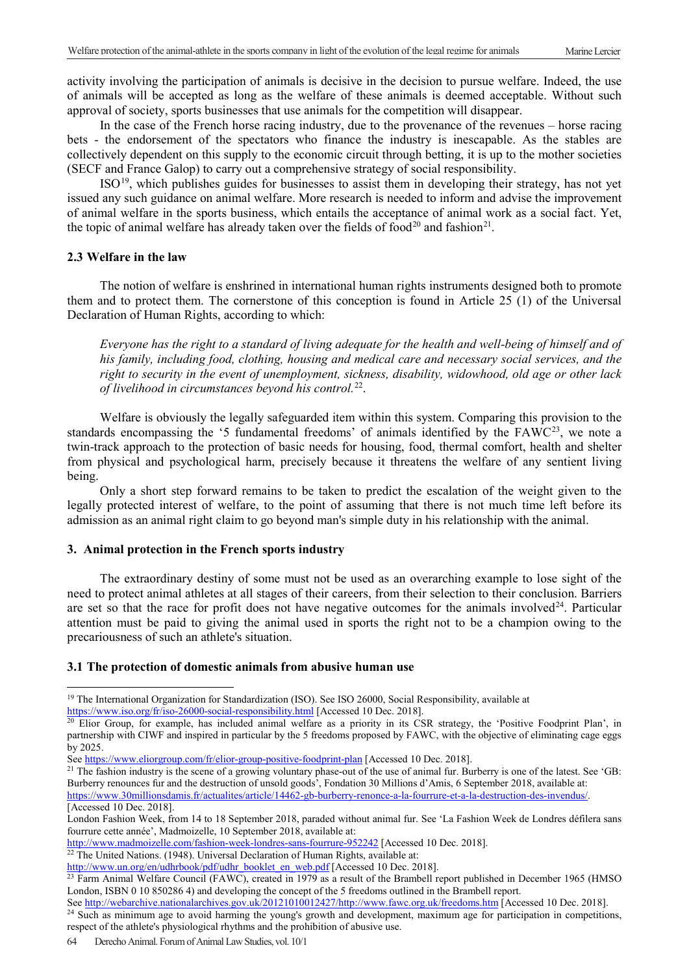activity involving the participation of animals is decisive in the decision to pursue welfare. Indeed, the use of animals will be accepted as long as the welfare of these animals is deemed acceptable. Without such approval of society, sports businesses that use animals for the competition will disappear.

In the case of the French horse racing industry, due to the provenance of the revenues – horse racing bets - the endorsement of the spectators who finance the industry is inescapable. As the stables are collectively dependent on this supply to the economic circuit through betting, it is up to the mother societies (SECF and France Galop) to carry out a comprehensive strategy of social responsibility.

ISO[19,](#page-5-0) which publishes guides for businesses to assist them in developing their strategy, has not yet issued any such guidance on animal welfare. More research is needed to inform and advise the improvement of animal welfare in the sports business, which entails the acceptance of animal work as a social fact. Yet, the topic of animal welfare has already taken over the fields of food<sup>[20](#page-5-1)</sup> and fashion<sup>21</sup>.

#### **2.3 Welfare in the law**

The notion of welfare is enshrined in international human rights instruments designed both to promote them and to protect them. The cornerstone of this conception is found in Article 25 (1) of the Universal Declaration of Human Rights, according to which:

*Everyone has the right to a standard of living adequate for the health and well-being of himself and of his family, including food, clothing, housing and medical care and necessary social services, and the right to security in the event of unemployment, sickness, disability, widowhood, old age or other lack of livelihood in circumstances beyond his control.*[22.](#page-5-3)

Welfare is obviously the legally safeguarded item within this system. Comparing this provision to the standards encompassing the '5 fundamental freedoms' of animals identified by the FAWC<sup>[23](#page-5-4)</sup>, we note a twin-track approach to the protection of basic needs for housing, food, thermal comfort, health and shelter from physical and psychological harm, precisely because it threatens the welfare of any sentient living being.

Only a short step forward remains to be taken to predict the escalation of the weight given to the legally protected interest of welfare, to the point of assuming that there is not much time left before its admission as an animal right claim to go beyond man's simple duty in his relationship with the animal.

#### **3. Animal protection in the French sports industry**

The extraordinary destiny of some must not be used as an overarching example to lose sight of the need to protect animal athletes at all stages of their careers, from their selection to their conclusion. Barriers are set so that the race for profit does not have negative outcomes for the animals involved $24$ . Particular attention must be paid to giving the animal used in sports the right not to be a champion owing to the precariousness of such an athlete's situation.

#### **3.1 The protection of domestic animals from abusive human use**

[https://www.30millionsdamis.fr/actualites/article/14462-gb-burberry-renonce-a-la-fourrure-et-a-la-destruction-des-invendus/.](https://www.30millionsdamis.fr/actualites/article/14462-gb-burberry-renonce-a-la-fourrure-et-a-la-destruction-des-invendus/) [Accessed 10 Dec. 2018].

<span id="page-5-3"></span> $22$  The United Nations. (1948). Universal Declaration of Human Rights, available at:

Se[e http://webarchive.nationalarchives.gov.uk/20121010012427/http://www.fawc.org.uk/freedoms.htm](http://webarchive.nationalarchives.gov.uk/20121010012427/http:/www.fawc.org.uk/freedoms.htm) [Accessed 10 Dec. 2018].

<span id="page-5-5"></span><sup>24</sup> Such as minimum age to avoid harming the young's growth and development, maximum age for participation in competitions, respect of the athlete's physiological rhythms and the prohibition of abusive use.

 $\overline{a}$ <sup>19</sup> The International Organization for Standardization (ISO). See ISO 26000, Social Responsibility, available at

<span id="page-5-0"></span><https://www.iso.org/fr/iso-26000-social-responsibility.html> [Accessed 10 Dec. 2018].

<span id="page-5-1"></span><sup>&</sup>lt;sup>20</sup> Elior Group, for example, has included animal welfare as a priority in its CSR strategy, the 'Positive Foodprint Plan', in partnership with CIWF and inspired in particular by the 5 freedoms proposed by FAWC, with the objective of eliminating cage eggs by 2025.

Se[e https://www.eliorgroup.com/fr/elior-group-positive-foodprint-plan](https://www.eliorgroup.com/fr/elior-group-positive-foodprint-plan) [Accessed 10 Dec. 2018].

<span id="page-5-2"></span><sup>&</sup>lt;sup>21</sup> The fashion industry is the scene of a growing voluntary phase-out of the use of animal fur. Burberry is one of the latest. See 'GB: Burberry renounces fur and the destruction of unsold goods', Fondation 30 Millions d'Amis, 6 September 2018, available at:

London Fashion Week, from 14 to 18 September 2018, paraded without animal fur. See 'La Fashion Week de Londres défilera sans fourrure cette année', Madmoizelle, 10 September 2018, available at:

<http://www.madmoizelle.com/fashion-week-londres-sans-fourrure-952242> [Accessed 10 Dec. 2018].

[http://www.un.org/en/udhrbook/pdf/udhr\\_booklet\\_en\\_web.pdf](http://www.un.org/en/udhrbook/pdf/udhr_booklet_en_web.pdf) [Accessed 10 Dec. 2018].

<span id="page-5-4"></span><sup>&</sup>lt;sup>23</sup> Farm Animal Welfare Council (FAWC), created in 1979 as a result of the Brambell report published in December 1965 (HMSO London, ISBN 0 10 850286 4) and developing the concept of the 5 freedoms outlined in the Brambell report.

<sup>64</sup> Derecho Animal. Forum of Animal Law Studies, vol. 10/1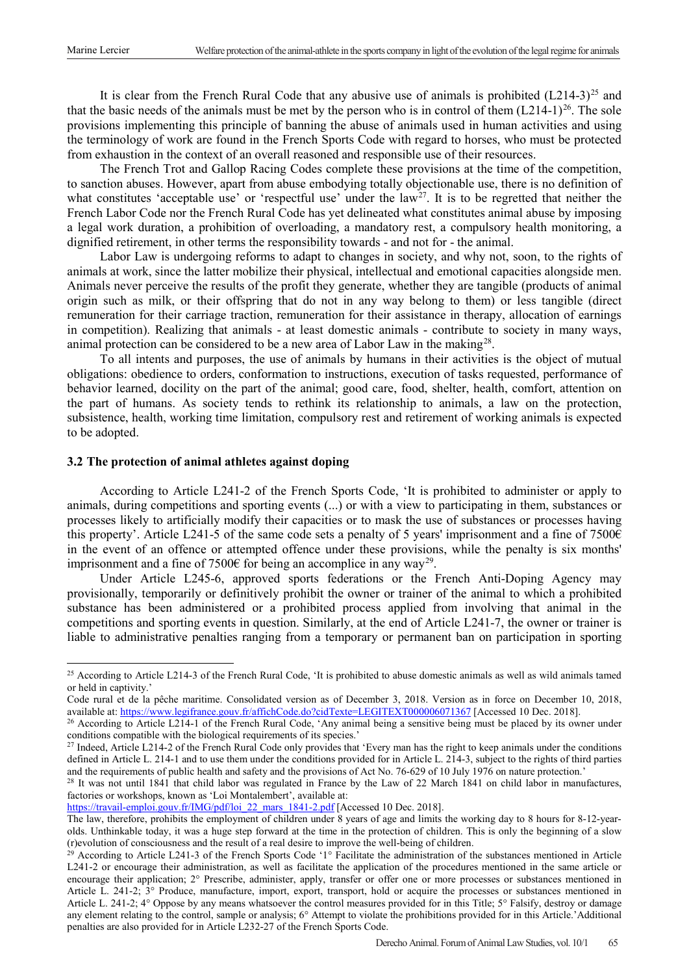It is clear from the French Rural Code that any abusive use of animals is prohibited  $(L214-3)^{25}$  $(L214-3)^{25}$  $(L214-3)^{25}$  and that the basic needs of the animals must be met by the person who is in control of them  $(L214-1)^{26}$ . The sole provisions implementing this principle of banning the abuse of animals used in human activities and using the terminology of work are found in the French Sports Code with regard to horses, who must be protected from exhaustion in the context of an overall reasoned and responsible use of their resources.

The French Trot and Gallop Racing Codes complete these provisions at the time of the competition, to sanction abuses. However, apart from abuse embodying totally objectionable use, there is no definition of what constitutes 'acceptable use' or 'respectful use' under the  $law<sup>27</sup>$ . It is to be regretted that neither the French Labor Code nor the French Rural Code has yet delineated what constitutes animal abuse by imposing a legal work duration, a prohibition of overloading, a mandatory rest, a compulsory health monitoring, a dignified retirement, in other terms the responsibility towards - and not for - the animal.

Labor Law is undergoing reforms to adapt to changes in society, and why not, soon, to the rights of animals at work, since the latter mobilize their physical, intellectual and emotional capacities alongside men. Animals never perceive the results of the profit they generate, whether they are tangible (products of animal origin such as milk, or their offspring that do not in any way belong to them) or less tangible (direct remuneration for their carriage traction, remuneration for their assistance in therapy, allocation of earnings in competition). Realizing that animals - at least domestic animals - contribute to society in many ways, animal protection can be considered to be a new area of Labor Law in the making<sup>[28](#page-6-3)</sup>.

To all intents and purposes, the use of animals by humans in their activities is the object of mutual obligations: obedience to orders, conformation to instructions, execution of tasks requested, performance of behavior learned, docility on the part of the animal; good care, food, shelter, health, comfort, attention on the part of humans. As society tends to rethink its relationship to animals, a law on the protection, subsistence, health, working time limitation, compulsory rest and retirement of working animals is expected to be adopted.

## **3.2 The protection of animal athletes against doping**

According to Article L241-2 of the French Sports Code, 'It is prohibited to administer or apply to animals, during competitions and sporting events (...) or with a view to participating in them, substances or processes likely to artificially modify their capacities or to mask the use of substances or processes having this property'. Article L241-5 of the same code sets a penalty of 5 years' imprisonment and a fine of 7500€ in the event of an offence or attempted offence under these provisions, while the penalty is six months' imprisonment and a fine of 7500€ for being an accomplice in any way<sup>29</sup>.

Under Article L245-6, approved sports federations or the French Anti-Doping Agency may provisionally, temporarily or definitively prohibit the owner or trainer of the animal to which a prohibited substance has been administered or a prohibited process applied from involving that animal in the competitions and sporting events in question. Similarly, at the end of Article L241-7, the owner or trainer is liable to administrative penalties ranging from a temporary or permanent ban on participation in sporting

<span id="page-6-0"></span><sup>&</sup>lt;sup>25</sup> According to Article L214-3 of the French Rural Code, 'It is prohibited to abuse domestic animals as well as wild animals tamed or held in captivity.'

Code rural et de la pêche maritime. Consolidated version as of December 3, 2018. Version as in force on December 10, 2018, available at:<https://www.legifrance.gouv.fr/affichCode.do?cidTexte=LEGITEXT000006071367> [Accessed 10 Dec. 2018].

<span id="page-6-1"></span><sup>&</sup>lt;sup>26</sup> According to Article L214-1 of the French Rural Code, 'Any animal being a sensitive being must be placed by its owner under conditions compatible with the biological requirements of its species.'

<span id="page-6-2"></span><sup>&</sup>lt;sup>27</sup> Indeed, Article L214-2 of the French Rural Code only provides that 'Every man has the right to keep animals under the conditions defined in Article L. 214-1 and to use them under the conditions provided for in Article L. 214-3, subject to the rights of third parties and the requirements of public health and safety and the provisions of Act No. 76-629 of 10 July 1976 on nature protection.'

<span id="page-6-3"></span><sup>&</sup>lt;sup>28</sup> It was not until 1841 that child labor was regulated in France by the Law of 22 March 1841 on child labor in manufactures, factories or workshops, known as 'Loi Montalembert', available at:

https://travail-emploi.gouv.fr/IMG/pdf/loi 22 mars 1841-2.pdf [Accessed 10 Dec. 2018].

The law, therefore, prohibits the employment of children under 8 years of age and limits the working day to 8 hours for 8-12-yearolds. Unthinkable today, it was a huge step forward at the time in the protection of children. This is only the beginning of a slow (r)evolution of consciousness and the result of a real desire to improve the well-being of children.

<span id="page-6-4"></span> $^{29}$  According to Article L241-3 of the French Sports Code '1° Facilitate the administration of the substances mentioned in Article L241-2 or encourage their administration, as well as facilitate the application of the procedures mentioned in the same article or encourage their application; 2° Prescribe, administer, apply, transfer or offer one or more processes or substances mentioned in Article L. 241-2; 3° Produce, manufacture, import, export, transport, hold or acquire the processes or substances mentioned in Article L. 241-2; 4° Oppose by any means whatsoever the control measures provided for in this Title; 5° Falsify, destroy or damage any element relating to the control, sample or analysis; 6° Attempt to violate the prohibitions provided for in this Article.'Additional penalties are also provided for in Article L232-27 of the French Sports Code.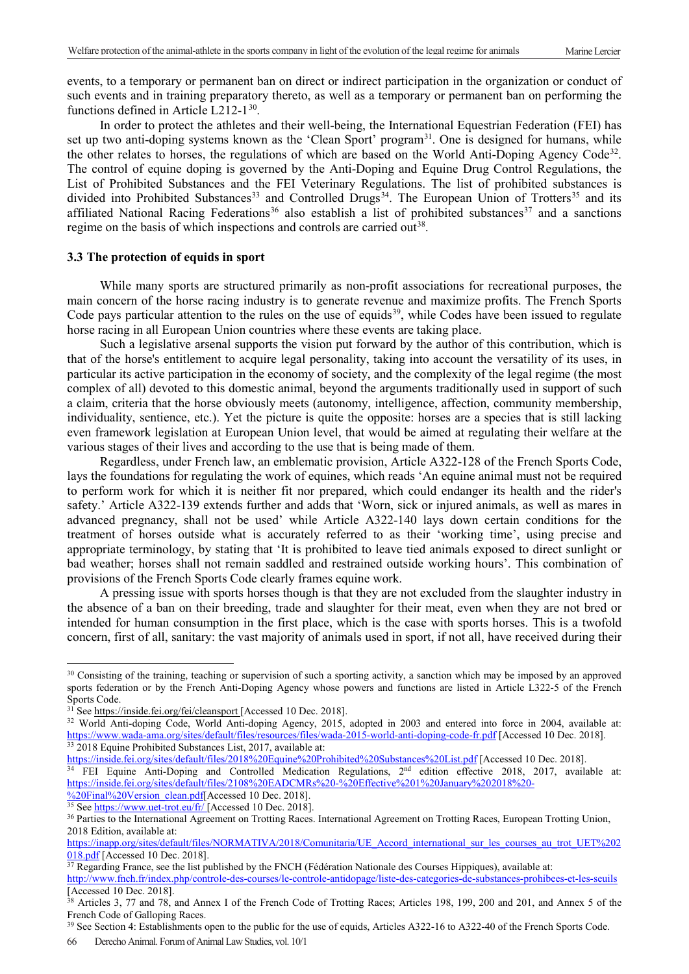events, to a temporary or permanent ban on direct or indirect participation in the organization or conduct of such events and in training preparatory thereto, as well as a temporary or permanent ban on performing the functions defined in Article L212-1<sup>[30](#page-7-0)</sup>.

In order to protect the athletes and their well-being, the International Equestrian Federation (FEI) has set up two anti-doping systems known as the 'Clean Sport' program<sup>31</sup>. One is designed for humans, while the other relates to horses, the regulations of which are based on the World Anti-Doping Agency Code<sup>[32](#page-7-2)</sup>. The control of equine doping is governed by the Anti-Doping and Equine Drug Control Regulations, the List of Prohibited Substances and the FEI Veterinary Regulations. The list of prohibited substances is divided into Prohibited Substances<sup>[33](#page-7-3)</sup> and Controlled Drugs<sup>[34](#page-7-4)</sup>. The European Union of Trotters<sup>[35](#page-7-5)</sup> and its affiliated National Racing Federations<sup>[36](#page-7-6)</sup> also establish a list of prohibited substances<sup>[37](#page-7-7)</sup> and a sanctions regime on the basis of which inspections and controls are carried out<sup>38</sup>.

#### **3.3 The protection of equids in sport**

While many sports are structured primarily as non-profit associations for recreational purposes, the main concern of the horse racing industry is to generate revenue and maximize profits. The French Sports Code pays particular attention to the rules on the use of equids<sup>[39](#page-7-9)</sup>, while Codes have been issued to regulate horse racing in all European Union countries where these events are taking place.

Such a legislative arsenal supports the vision put forward by the author of this contribution, which is that of the horse's entitlement to acquire legal personality, taking into account the versatility of its uses, in particular its active participation in the economy of society, and the complexity of the legal regime (the most complex of all) devoted to this domestic animal, beyond the arguments traditionally used in support of such a claim, criteria that the horse obviously meets (autonomy, intelligence, affection, community membership, individuality, sentience, etc.). Yet the picture is quite the opposite: horses are a species that is still lacking even framework legislation at European Union level, that would be aimed at regulating their welfare at the various stages of their lives and according to the use that is being made of them.

Regardless, under French law, an emblematic provision, Article A322-128 of the French Sports Code, lays the foundations for regulating the work of equines, which reads 'An equine animal must not be required to perform work for which it is neither fit nor prepared, which could endanger its health and the rider's safety.' Article A322-139 extends further and adds that 'Worn, sick or injured animals, as well as mares in advanced pregnancy, shall not be used' while Article A322-140 lays down certain conditions for the treatment of horses outside what is accurately referred to as their 'working time', using precise and appropriate terminology, by stating that 'It is prohibited to leave tied animals exposed to direct sunlight or bad weather; horses shall not remain saddled and restrained outside working hours'. This combination of provisions of the French Sports Code clearly frames equine work.

A pressing issue with sports horses though is that they are not excluded from the slaughter industry in the absence of a ban on their breeding, trade and slaughter for their meat, even when they are not bred or intended for human consumption in the first place, which is the case with sports horses. This is a twofold concern, first of all, sanitary: the vast majority of animals used in sport, if not all, have received during their

[%20Final%20Version\\_clean.pdf\[](https://inside.fei.org/sites/default/files/2108%20EADCMRs%20-%20Effective%201%20January%202018%20-%20Final%20Version_clean.pdf)Accessed 10 Dec. 2018].<br><sup>35</sup> Se[e https://www.uet-trot.eu/fr/](https://www.uet-trot.eu/fr/) [Accessed 10 Dec. 2018].

 $\ddot{\phantom{a}}$ 

<span id="page-7-9"></span><sup>39</sup> See Section 4: Establishments open to the public for the use of equids, Articles A322-16 to A322-40 of the French Sports Code.

<span id="page-7-0"></span><sup>&</sup>lt;sup>30</sup> Consisting of the training, teaching or supervision of such a sporting activity, a sanction which may be imposed by an approved sports federation or by the French Anti-Doping Agency whose powers and functions are listed in Article L322-5 of the French Sports Code.

<span id="page-7-1"></span><sup>&</sup>lt;sup>31</sup> Se[e https://inside.fei.org/fei/cleansport](https://inside.fei.org/fei/cleansport) [Accessed 10 Dec. 2018].

<span id="page-7-2"></span><sup>32</sup> World Anti-doping Code, World Anti-doping Agency, 2015, adopted in 2003 and entered into force in 2004, available at: <https://www.wada-ama.org/sites/default/files/resources/files/wada-2015-world-anti-doping-code-fr.pdf> [Accessed 10 Dec. 2018]. <sup>33</sup> 2018 Equine Prohibited Substances List, 2017, available at:

<span id="page-7-3"></span><https://inside.fei.org/sites/default/files/2018%20Equine%20Prohibited%20Substances%20List.pdf> [Accessed 10 Dec. 2018].

<span id="page-7-4"></span><sup>&</sup>lt;sup>34</sup> FEI Equine Anti-Doping and Controlled Medication Regulations, 2<sup>nd</sup> edition effective 2018, 2017, available at: [https://inside.fei.org/sites/default/files/2108%20EADCMRs%20-%20Effective%201%20January%202018%20-](https://inside.fei.org/sites/default/files/2108%20EADCMRs%20-%20Effective%201%20January%202018%20-%20Final%20Version_clean.pdf)

<span id="page-7-6"></span><span id="page-7-5"></span><sup>36</sup> Parties to the International Agreement on Trotting Races. International Agreement on Trotting Races, European Trotting Union, 2018 Edition, available at:

[https://inapp.org/sites/default/files/NORMATIVA/2018/Comunitaria/UE\\_Accord\\_international\\_sur\\_les\\_courses\\_au\\_trot\\_UET%202](https://inapp.org/sites/default/files/NORMATIVA/2018/Comunitaria/UE_Accord_international_sur_les_courses_au_trot_UET%202018.pdf) [018.pdf](https://inapp.org/sites/default/files/NORMATIVA/2018/Comunitaria/UE_Accord_international_sur_les_courses_au_trot_UET%202018.pdf) [Accessed 10 Dec. 2018].

<span id="page-7-7"></span><sup>&</sup>lt;sup>37</sup> Regarding France, see the list published by the FNCH (Fédération Nationale des Courses Hippiques), available at: <http://www.fnch.fr/index.php/controle-des-courses/le-controle-antidopage/liste-des-categories-de-substances-prohibees-et-les-seuils> [Accessed 10 Dec. 2018].

<span id="page-7-8"></span><sup>&</sup>lt;sup>38</sup> Articles 3, 77 and 78, and Annex I of the French Code of Trotting Races; Articles 198, 199, 200 and 201, and Annex 5 of the French Code of Galloping Races.

<sup>66</sup> Derecho Animal. Forum of Animal Law Studies, vol. 10/1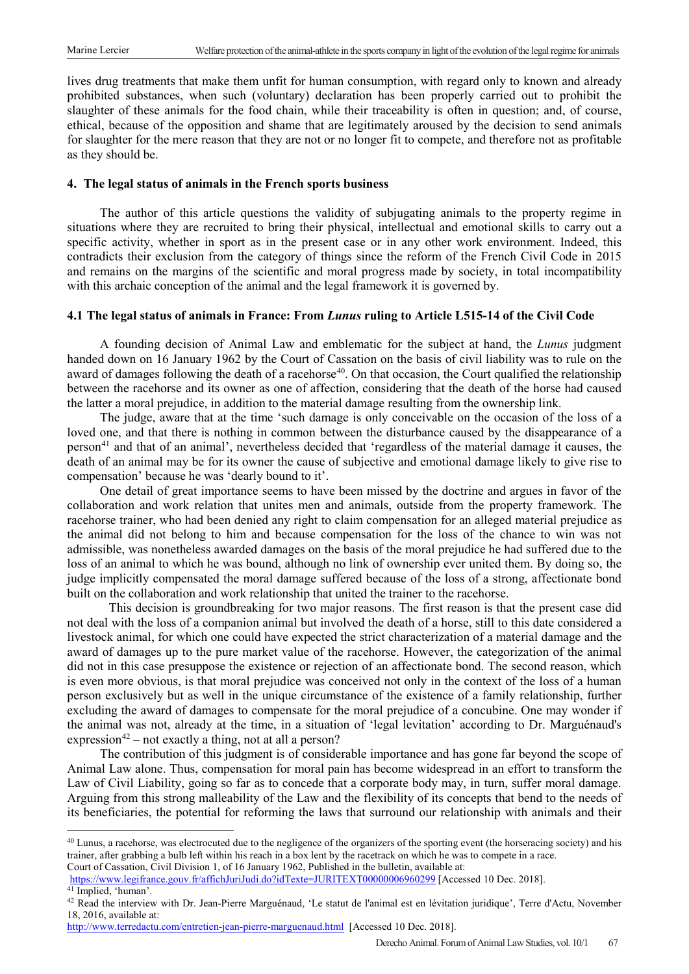lives drug treatments that make them unfit for human consumption, with regard only to known and already prohibited substances, when such (voluntary) declaration has been properly carried out to prohibit the slaughter of these animals for the food chain, while their traceability is often in question; and, of course, ethical, because of the opposition and shame that are legitimately aroused by the decision to send animals for slaughter for the mere reason that they are not or no longer fit to compete, and therefore not as profitable as they should be.

## **4. The legal status of animals in the French sports business**

The author of this article questions the validity of subjugating animals to the property regime in situations where they are recruited to bring their physical, intellectual and emotional skills to carry out a specific activity, whether in sport as in the present case or in any other work environment. Indeed, this contradicts their exclusion from the category of things since the reform of the French Civil Code in 2015 and remains on the margins of the scientific and moral progress made by society, in total incompatibility with this archaic conception of the animal and the legal framework it is governed by.

# **4.1 The legal status of animals in France: From** *Lunus* **ruling to Article L515-14 of the Civil Code**

A founding decision of Animal Law and emblematic for the subject at hand, the *Lunus* judgment handed down on 16 January 1962 by the Court of Cassation on the basis of civil liability was to rule on the award of damages following the death of a racehorse<sup>[40](#page-8-0)</sup>. On that occasion, the Court qualified the relationship between the racehorse and its owner as one of affection, considering that the death of the horse had caused the latter a moral prejudice, in addition to the material damage resulting from the ownership link.

The judge, aware that at the time 'such damage is only conceivable on the occasion of the loss of a loved one, and that there is nothing in common between the disturbance caused by the disappearance of a person[41](#page-8-1) and that of an animal', nevertheless decided that 'regardless of the material damage it causes, the death of an animal may be for its owner the cause of subjective and emotional damage likely to give rise to compensation' because he was 'dearly bound to it'.

One detail of great importance seems to have been missed by the doctrine and argues in favor of the collaboration and work relation that unites men and animals, outside from the property framework. The racehorse trainer, who had been denied any right to claim compensation for an alleged material prejudice as the animal did not belong to him and because compensation for the loss of the chance to win was not admissible, was nonetheless awarded damages on the basis of the moral prejudice he had suffered due to the loss of an animal to which he was bound, although no link of ownership ever united them. By doing so, the judge implicitly compensated the moral damage suffered because of the loss of a strong, affectionate bond built on the collaboration and work relationship that united the trainer to the racehorse.

This decision is groundbreaking for two major reasons. The first reason is that the present case did not deal with the loss of a companion animal but involved the death of a horse, still to this date considered a livestock animal, for which one could have expected the strict characterization of a material damage and the award of damages up to the pure market value of the racehorse. However, the categorization of the animal did not in this case presuppose the existence or rejection of an affectionate bond. The second reason, which is even more obvious, is that moral prejudice was conceived not only in the context of the loss of a human person exclusively but as well in the unique circumstance of the existence of a family relationship, further excluding the award of damages to compensate for the moral prejudice of a concubine. One may wonder if the animal was not, already at the time, in a situation of 'legal levitation' according to Dr. Marguénaud's expression<sup>[42](#page-8-2)</sup> – not exactly a thing, not at all a person?

The contribution of this judgment is of considerable importance and has gone far beyond the scope of Animal Law alone. Thus, compensation for moral pain has become widespread in an effort to transform the Law of Civil Liability, going so far as to concede that a corporate body may, in turn, suffer moral damage. Arguing from this strong malleability of the Law and the flexibility of its concepts that bend to the needs of its beneficiaries, the potential for reforming the laws that surround our relationship with animals and their

<span id="page-8-0"></span><sup>&</sup>lt;sup>40</sup> Lunus, a racehorse, was electrocuted due to the negligence of the organizers of the sporting event (the horseracing society) and his trainer, after grabbing a bulb left within his reach in a box lent by the racetrack on which he was to compete in a race. Court of Cassation, Civil Division 1, of 16 January 1962, Published in the bulletin, available at:

<span id="page-8-1"></span><https://www.legifrance.gouv.fr/affichJuriJudi.do?idTexte=JURITEXT00000006960299> [Accessed 10 Dec. 2018]. <sup>41</sup> Implied, 'human'.

<span id="page-8-2"></span><sup>&</sup>lt;sup>42</sup> Read the interview with Dr. Jean-Pierre Marguénaud, 'Le statut de l'animal est en lévitation juridique', Terre d'Actu, November 18, 2016, available at:

<http://www.terredactu.com/entretien-jean-pierre-marguenaud.html>[Accessed 10 Dec. 2018].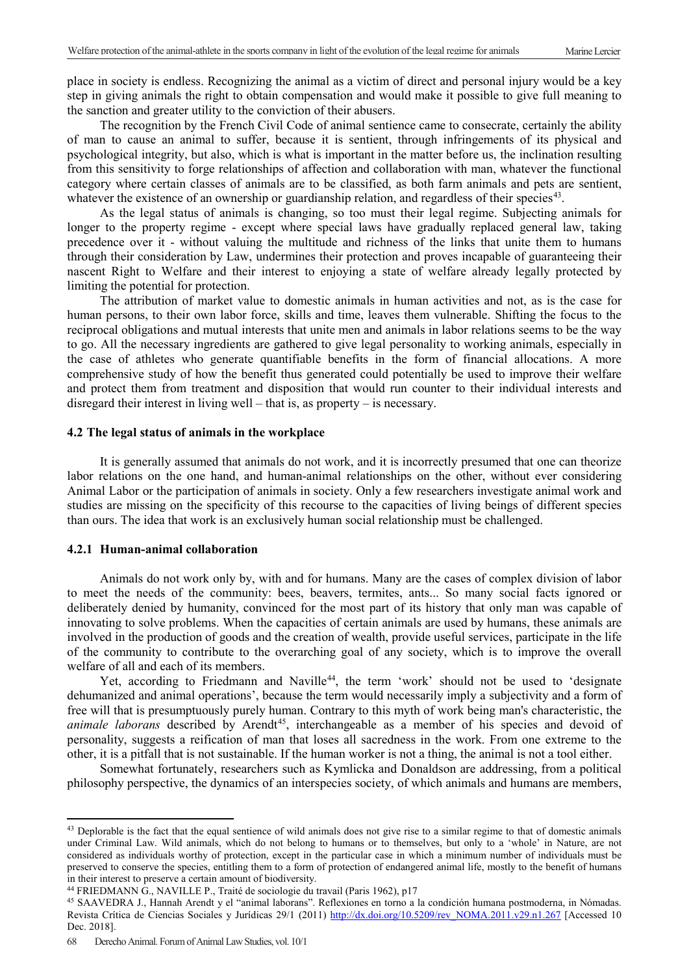place in society is endless. Recognizing the animal as a victim of direct and personal injury would be a key step in giving animals the right to obtain compensation and would make it possible to give full meaning to the sanction and greater utility to the conviction of their abusers.

The recognition by the French Civil Code of animal sentience came to consecrate, certainly the ability of man to cause an animal to suffer, because it is sentient, through infringements of its physical and psychological integrity, but also, which is what is important in the matter before us, the inclination resulting from this sensitivity to forge relationships of affection and collaboration with man, whatever the functional category where certain classes of animals are to be classified, as both farm animals and pets are sentient, whatever the existence of an ownership or guardianship relation, and regardless of their species<sup>43</sup>.

As the legal status of animals is changing, so too must their legal regime. Subjecting animals for longer to the property regime - except where special laws have gradually replaced general law, taking precedence over it - without valuing the multitude and richness of the links that unite them to humans through their consideration by Law, undermines their protection and proves incapable of guaranteeing their nascent Right to Welfare and their interest to enjoying a state of welfare already legally protected by limiting the potential for protection.

The attribution of market value to domestic animals in human activities and not, as is the case for human persons, to their own labor force, skills and time, leaves them vulnerable. Shifting the focus to the reciprocal obligations and mutual interests that unite men and animals in labor relations seems to be the way to go. All the necessary ingredients are gathered to give legal personality to working animals, especially in the case of athletes who generate quantifiable benefits in the form of financial allocations. A more comprehensive study of how the benefit thus generated could potentially be used to improve their welfare and protect them from treatment and disposition that would run counter to their individual interests and disregard their interest in living well – that is, as property – is necessary.

#### **4.2 The legal status of animals in the workplace**

It is generally assumed that animals do not work, and it is incorrectly presumed that one can theorize labor relations on the one hand, and human-animal relationships on the other, without ever considering Animal Labor or the participation of animals in society. Only a few researchers investigate animal work and studies are missing on the specificity of this recourse to the capacities of living beings of different species than ours. The idea that work is an exclusively human social relationship must be challenged.

#### **4.2.1 Human-animal collaboration**

Animals do not work only by, with and for humans. Many are the cases of complex division of labor to meet the needs of the community: bees, beavers, termites, ants... So many social facts ignored or deliberately denied by humanity, convinced for the most part of its history that only man was capable of innovating to solve problems. When the capacities of certain animals are used by humans, these animals are involved in the production of goods and the creation of wealth, provide useful services, participate in the life of the community to contribute to the overarching goal of any society, which is to improve the overall welfare of all and each of its members.

Yet, according to Friedmann and Naville<sup>44</sup>, the term 'work' should not be used to 'designate dehumanized and animal operations', because the term would necessarily imply a subjectivity and a form of free will that is presumptuously purely human. Contrary to this myth of work being man's characteristic, the animale laborans described by Arendt<sup>[45](#page-9-2)</sup>, interchangeable as a member of his species and devoid of personality, suggests a reification of man that loses all sacredness in the work. From one extreme to the other, it is a pitfall that is not sustainable. If the human worker is not a thing, the animal is not a tool either.

Somewhat fortunately, researchers such as Kymlicka and Donaldson are addressing, from a political philosophy perspective, the dynamics of an interspecies society, of which animals and humans are members,

 $\overline{a}$ 

<span id="page-9-0"></span><sup>&</sup>lt;sup>43</sup> Deplorable is the fact that the equal sentience of wild animals does not give rise to a similar regime to that of domestic animals under Criminal Law. Wild animals, which do not belong to humans or to themselves, but only to a 'whole' in Nature, are not considered as individuals worthy of protection, except in the particular case in which a minimum number of individuals must be preserved to conserve the species, entitling them to a form of protection of endangered animal life, mostly to the benefit of humans in their interest to preserve a certain amount of biodiversity.

<span id="page-9-1"></span><sup>44</sup> FRIEDMANN G., NAVILLE P., Traité de sociologie du travail (Paris 1962), p17

<span id="page-9-2"></span><sup>45</sup> SAAVEDRA J., Hannah Arendt y el "animal laborans". Reflexiones en torno a la condición humana postmoderna, in Nómadas. Revista Crítica de Ciencias Sociales y Jurídicas 29/1 (2011) [http://dx.doi.org/10.5209/rev\\_NOMA.2011.v29.n1.267](http://dx.doi.org/10.5209/rev_NOMA.2011.v29.n1.267) [Accessed 10 Dec. 2018].

<sup>68</sup> Derecho Animal. Forum of Animal Law Studies, vol. 10/1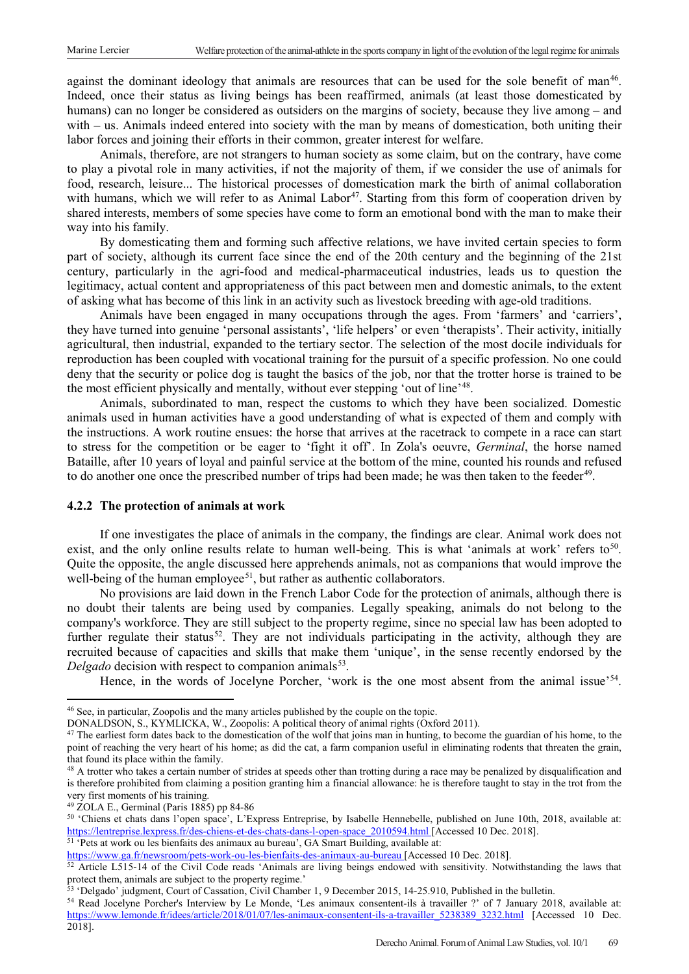against the dominant ideology that animals are resources that can be used for the sole benefit of man<sup>46</sup>. Indeed, once their status as living beings has been reaffirmed, animals (at least those domesticated by humans) can no longer be considered as outsiders on the margins of society, because they live among – and with – us. Animals indeed entered into society with the man by means of domestication, both uniting their labor forces and joining their efforts in their common, greater interest for welfare.

Animals, therefore, are not strangers to human society as some claim, but on the contrary, have come to play a pivotal role in many activities, if not the majority of them, if we consider the use of animals for food, research, leisure... The historical processes of domestication mark the birth of animal collaboration with humans, which we will refer to as Animal Labor<sup>47</sup>. Starting from this form of cooperation driven by shared interests, members of some species have come to form an emotional bond with the man to make their way into his family.

By domesticating them and forming such affective relations, we have invited certain species to form part of society, although its current face since the end of the 20th century and the beginning of the 21st century, particularly in the agri-food and medical-pharmaceutical industries, leads us to question the legitimacy, actual content and appropriateness of this pact between men and domestic animals, to the extent of asking what has become of this link in an activity such as livestock breeding with age-old traditions.

Animals have been engaged in many occupations through the ages. From 'farmers' and 'carriers', they have turned into genuine 'personal assistants', 'life helpers' or even 'therapists'. Their activity, initially agricultural, then industrial, expanded to the tertiary sector. The selection of the most docile individuals for reproduction has been coupled with vocational training for the pursuit of a specific profession. No one could deny that the security or police dog is taught the basics of the job, nor that the trotter horse is trained to be the most efficient physically and mentally, without ever stepping 'out of line'<sup>48</sup>.

Animals, subordinated to man, respect the customs to which they have been socialized. Domestic animals used in human activities have a good understanding of what is expected of them and comply with the instructions. A work routine ensues: the horse that arrives at the racetrack to compete in a race can start to stress for the competition or be eager to 'fight it off'. In Zola's oeuvre, *Germinal*, the horse named Bataille, after 10 years of loyal and painful service at the bottom of the mine, counted his rounds and refused to do another one once the prescribed number of trips had been made; he was then taken to the feeder<sup>49</sup>.

#### **4.2.2 The protection of animals at work**

If one investigates the place of animals in the company, the findings are clear. Animal work does not exist, and the only online results relate to human well-being. This is what 'animals at work' refers to<sup>[50](#page-10-4)</sup>. Quite the opposite, the angle discussed here apprehends animals, not as companions that would improve the well-being of the human employee<sup>51</sup>, but rather as authentic collaborators.

No provisions are laid down in the French Labor Code for the protection of animals, although there is no doubt their talents are being used by companies. Legally speaking, animals do not belong to the company's workforce. They are still subject to the property regime, since no special law has been adopted to further regulate their status<sup>[52](#page-10-6)</sup>. They are not individuals participating in the activity, although they are recruited because of capacities and skills that make them 'unique', in the sense recently endorsed by the *Delgado* decision with respect to companion animals<sup>[53](#page-10-7)</sup>.

Hence, in the words of Jocelyne Porcher, 'work is the one most absent from the animal issue'<sup>[54](#page-10-8)</sup>.

 $\overline{a}$ 

<span id="page-10-5"></span><https://www.ga.fr/newsroom/pets-work-ou-les-bienfaits-des-animaux-au-bureau> [Accessed 10 Dec. 2018].

<span id="page-10-0"></span><sup>46</sup> See, in particular, Zoopolis and the many articles published by the couple on the topic.

DONALDSON, S., KYMLICKA, W., Zoopolis: A political theory of animal rights (Oxford 2011).

<span id="page-10-1"></span><sup>&</sup>lt;sup>47</sup> The earliest form dates back to the domestication of the wolf that joins man in hunting, to become the guardian of his home, to the point of reaching the very heart of his home; as did the cat, a farm companion useful in eliminating rodents that threaten the grain, that found its place within the family.

<span id="page-10-2"></span><sup>&</sup>lt;sup>48</sup> A trotter who takes a certain number of strides at speeds other than trotting during a race may be penalized by disqualification and is therefore prohibited from claiming a position granting him a financial allowance: he is therefore taught to stay in the trot from the very first moments of his training.

<span id="page-10-3"></span><sup>49</sup> ZOLA E., Germinal (Paris 1885) pp 84-86

<span id="page-10-4"></span><sup>50</sup> 'Chiens et chats dans l'open space', L'Express Entreprise, by Isabelle Hennebelle, published on June 10th, 2018, available at: [https://lentreprise.lexpress.fr/des-chiens-et-des-chats-dans-l-open-space\\_2010594.html](https://lentreprise.lexpress.fr/des-chiens-et-des-chats-dans-l-open-space_2010594.html) [Accessed 10 Dec. 2018]. <sup>51</sup> 'Pets at work ou les bienfaits des animaux au bureau', GA Smart Building, available at:

<span id="page-10-6"></span><sup>&</sup>lt;sup>52</sup> Article L515-14 of the Civil Code reads 'Animals are living beings endowed with sensitivity. Notwithstanding the laws that protect them, animals are subject to the property regime.'

<span id="page-10-7"></span><sup>53</sup> 'Delgado' judgment, Court of Cassation, Civil Chamber 1, 9 December 2015, 14-25.910, Published in the bulletin.

<span id="page-10-8"></span><sup>54</sup> Read Jocelyne Porcher's Interview by Le Monde, 'Les animaux consentent-ils à travailler ?' of 7 January 2018, available at: [https://www.lemonde.fr/idees/article/2018/01/07/les-animaux-consentent-ils-a-travailler\\_5238389\\_3232.html](https://www.lemonde.fr/idees/article/2018/01/07/les-animaux-consentent-ils-a-travailler_5238389_3232.html) [Accessed 10 Dec. 2018].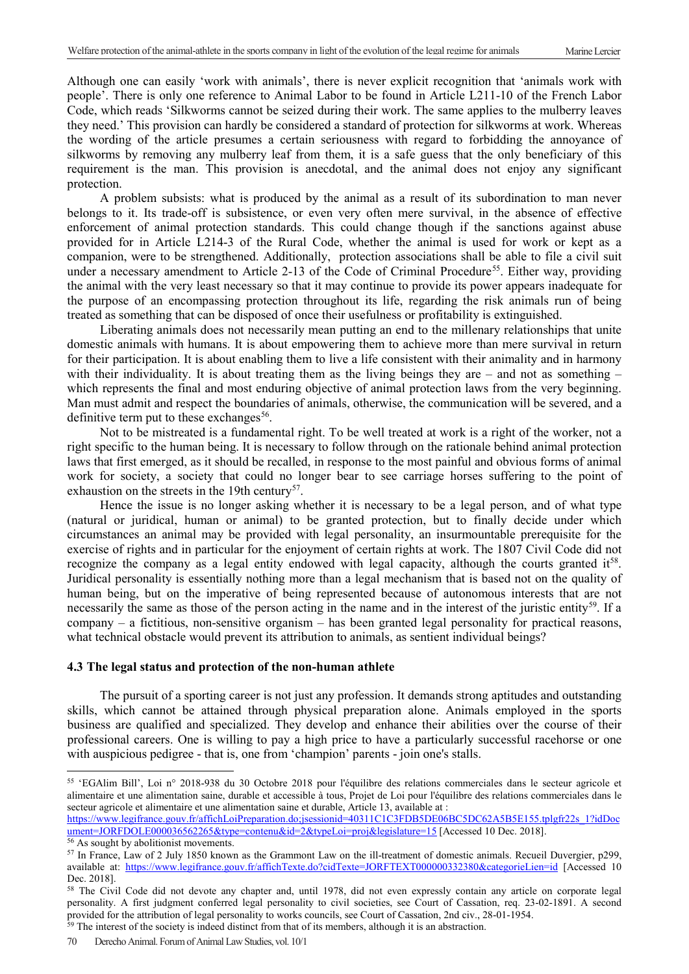Although one can easily 'work with animals', there is never explicit recognition that 'animals work with people'. There is only one reference to Animal Labor to be found in Article L211-10 of the French Labor Code, which reads 'Silkworms cannot be seized during their work. The same applies to the mulberry leaves they need.' This provision can hardly be considered a standard of protection for silkworms at work. Whereas the wording of the article presumes a certain seriousness with regard to forbidding the annoyance of silkworms by removing any mulberry leaf from them, it is a safe guess that the only beneficiary of this requirement is the man. This provision is anecdotal, and the animal does not enjoy any significant protection.

A problem subsists: what is produced by the animal as a result of its subordination to man never belongs to it. Its trade-off is subsistence, or even very often mere survival, in the absence of effective enforcement of animal protection standards. This could change though if the sanctions against abuse provided for in Article L214-3 of the Rural Code, whether the animal is used for work or kept as a companion, were to be strengthened. Additionally, protection associations shall be able to file a civil suit under a necessary amendment to Article 2-13 of the Code of Criminal Procedure<sup>[55](#page-11-0)</sup>. Either way, providing the animal with the very least necessary so that it may continue to provide its power appears inadequate for the purpose of an encompassing protection throughout its life, regarding the risk animals run of being treated as something that can be disposed of once their usefulness or profitability is extinguished.

Liberating animals does not necessarily mean putting an end to the millenary relationships that unite domestic animals with humans. It is about empowering them to achieve more than mere survival in return for their participation. It is about enabling them to live a life consistent with their animality and in harmony with their individuality. It is about treating them as the living beings they are – and not as something – which represents the final and most enduring objective of animal protection laws from the very beginning. Man must admit and respect the boundaries of animals, otherwise, the communication will be severed, and a definitive term put to these exchanges<sup>56</sup>.

Not to be mistreated is a fundamental right. To be well treated at work is a right of the worker, not a right specific to the human being. It is necessary to follow through on the rationale behind animal protection laws that first emerged, as it should be recalled, in response to the most painful and obvious forms of animal work for society, a society that could no longer bear to see carriage horses suffering to the point of exhaustion on the streets in the 19th century<sup>57</sup>.

Hence the issue is no longer asking whether it is necessary to be a legal person, and of what type (natural or juridical, human or animal) to be granted protection, but to finally decide under which circumstances an animal may be provided with legal personality, an insurmountable prerequisite for the exercise of rights and in particular for the enjoyment of certain rights at work. The 1807 Civil Code did not recognize the company as a legal entity endowed with legal capacity, although the courts granted it<sup>[58](#page-11-3)</sup>. Juridical personality is essentially nothing more than a legal mechanism that is based not on the quality of human being, but on the imperative of being represented because of autonomous interests that are not necessarily the same as those of the person acting in the name and in the interest of the juristic entity<sup>59</sup>. If a company – a fictitious, non-sensitive organism – has been granted legal personality for practical reasons, what technical obstacle would prevent its attribution to animals, as sentient individual beings?

#### **4.3 The legal status and protection of the non-human athlete**

The pursuit of a sporting career is not just any profession. It demands strong aptitudes and outstanding skills, which cannot be attained through physical preparation alone. Animals employed in the sports business are qualified and specialized. They develop and enhance their abilities over the course of their professional careers. One is willing to pay a high price to have a particularly successful racehorse or one with auspicious pedigree - that is, one from 'champion' parents - join one's stalls.

 $\overline{a}$ 

<span id="page-11-0"></span><sup>55</sup> 'EGAlim Bill', Loi n° 2018-938 du 30 Octobre 2018 pour l'équilibre des relations commerciales dans le secteur agricole et alimentaire et une alimentation saine, durable et accessible à tous, Projet de Loi pour l'équilibre des relations commerciales dans le secteur agricole et alimentaire et une alimentation saine et durable, Article 13, available at :

[https://www.legifrance.gouv.fr/affichLoiPreparation.do;jsessionid=40311C1C3FDB5DE06BC5DC62A5B5E155.tplgfr22s\\_1?idDoc](https://www.legifrance.gouv.fr/affichLoiPreparation.do;jsessionid=40311C1C3FDB5DE06BC5DC62A5B5E155.tplgfr22s_1?idDocument=JORFDOLE000036562265&type=contenu&id=2&typeLoi=proj&legislature=15) ument=JORFDOLE000036562265&type=contenu&id=2&typeLoi=proj&legislature=15 [\[](https://www.legifrance.gouv.fr/affichLoiPreparation.do;jsessionid=40311C1C3FDB5DE06BC5DC62A5B5E155.tplgfr22s_1?idDocument=JORFDOLE000036562265&type=contenu&id=2&typeLoi=proj&legislature=15)Accessed 10 Dec. 2018].<br><sup>56</sup> As sought by abolitionist movements.

<span id="page-11-1"></span>

<span id="page-11-2"></span><sup>&</sup>lt;sup>57</sup> In France, Law of 2 July 1850 known as the Grammont Law on the ill-treatment of domestic animals. Recueil Duvergier, p299, available at:<https://www.legifrance.gouv.fr/affichTexte.do?cidTexte=JORFTEXT000000332380&categorieLien=id> [Accessed 10 Dec. 2018].

<span id="page-11-3"></span><sup>&</sup>lt;sup>58</sup> The Civil Code did not devote any chapter and, until 1978, did not even expressly contain any article on corporate legal personality. A first judgment conferred legal personality to civil societies, see Court of Cassation, req. 23-02-1891. A second provided for the attribution of legal personality to works councils, see Court of Cassation, 2nd civ., 28-01-1954.  $59$  The interest of the society is indeed distinct from that of its members, although it is an abstraction.

<span id="page-11-4"></span><sup>70</sup> Derecho Animal. Forum of Animal Law Studies, vol. 10/1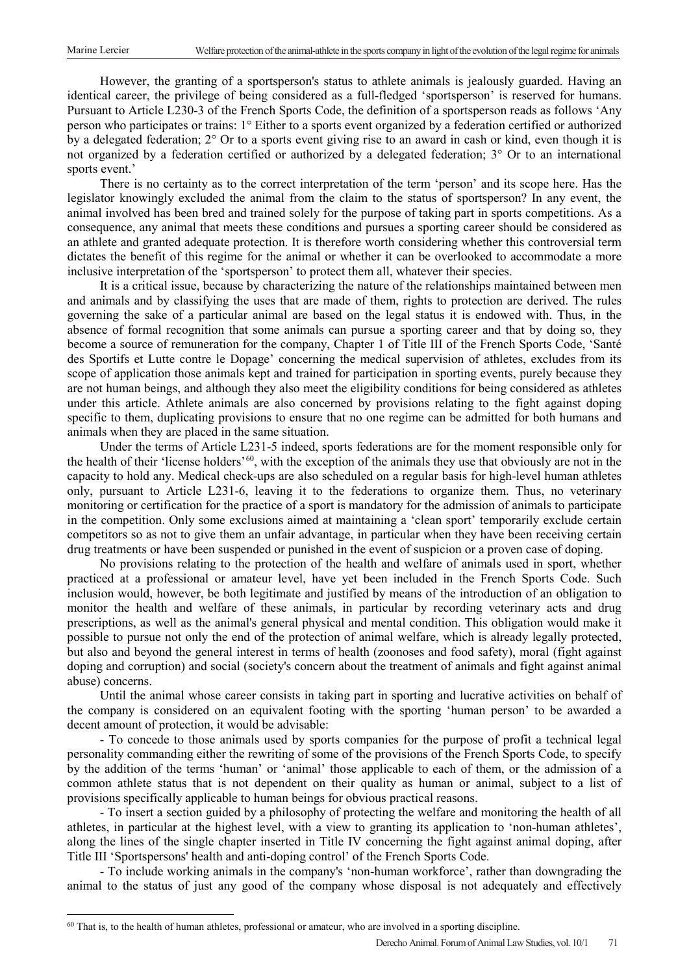However, the granting of a sportsperson's status to athlete animals is jealously guarded. Having an identical career, the privilege of being considered as a full-fledged 'sportsperson' is reserved for humans. Pursuant to Article L230-3 of the French Sports Code, the definition of a sportsperson reads as follows 'Any person who participates or trains: 1° Either to a sports event organized by a federation certified or authorized by a delegated federation; 2° Or to a sports event giving rise to an award in cash or kind, even though it is not organized by a federation certified or authorized by a delegated federation; 3° Or to an international sports event.'

There is no certainty as to the correct interpretation of the term 'person' and its scope here. Has the legislator knowingly excluded the animal from the claim to the status of sportsperson? In any event, the animal involved has been bred and trained solely for the purpose of taking part in sports competitions. As a consequence, any animal that meets these conditions and pursues a sporting career should be considered as an athlete and granted adequate protection. It is therefore worth considering whether this controversial term dictates the benefit of this regime for the animal or whether it can be overlooked to accommodate a more inclusive interpretation of the 'sportsperson' to protect them all, whatever their species.

It is a critical issue, because by characterizing the nature of the relationships maintained between men and animals and by classifying the uses that are made of them, rights to protection are derived. The rules governing the sake of a particular animal are based on the legal status it is endowed with. Thus, in the absence of formal recognition that some animals can pursue a sporting career and that by doing so, they become a source of remuneration for the company, Chapter 1 of Title III of the French Sports Code, 'Santé des Sportifs et Lutte contre le Dopage' concerning the medical supervision of athletes, excludes from its scope of application those animals kept and trained for participation in sporting events, purely because they are not human beings, and although they also meet the eligibility conditions for being considered as athletes under this article. Athlete animals are also concerned by provisions relating to the fight against doping specific to them, duplicating provisions to ensure that no one regime can be admitted for both humans and animals when they are placed in the same situation.

Under the terms of Article L231-5 indeed, sports federations are for the moment responsible only for the health of their 'license holders'<sup>60</sup>, with the exception of the animals they use that obviously are not in the capacity to hold any. Medical check-ups are also scheduled on a regular basis for high-level human athletes only, pursuant to Article L231-6, leaving it to the federations to organize them. Thus, no veterinary monitoring or certification for the practice of a sport is mandatory for the admission of animals to participate in the competition. Only some exclusions aimed at maintaining a 'clean sport' temporarily exclude certain competitors so as not to give them an unfair advantage, in particular when they have been receiving certain drug treatments or have been suspended or punished in the event of suspicion or a proven case of doping.

No provisions relating to the protection of the health and welfare of animals used in sport, whether practiced at a professional or amateur level, have yet been included in the French Sports Code. Such inclusion would, however, be both legitimate and justified by means of the introduction of an obligation to monitor the health and welfare of these animals, in particular by recording veterinary acts and drug prescriptions, as well as the animal's general physical and mental condition. This obligation would make it possible to pursue not only the end of the protection of animal welfare, which is already legally protected, but also and beyond the general interest in terms of health (zoonoses and food safety), moral (fight against doping and corruption) and social (society's concern about the treatment of animals and fight against animal abuse) concerns.

Until the animal whose career consists in taking part in sporting and lucrative activities on behalf of the company is considered on an equivalent footing with the sporting 'human person' to be awarded a decent amount of protection, it would be advisable:

- To concede to those animals used by sports companies for the purpose of profit a technical legal personality commanding either the rewriting of some of the provisions of the French Sports Code, to specify by the addition of the terms 'human' or 'animal' those applicable to each of them, or the admission of a common athlete status that is not dependent on their quality as human or animal, subject to a list of provisions specifically applicable to human beings for obvious practical reasons.

- To insert a section guided by a philosophy of protecting the welfare and monitoring the health of all athletes, in particular at the highest level, with a view to granting its application to 'non-human athletes', along the lines of the single chapter inserted in Title IV concerning the fight against animal doping, after Title III 'Sportspersons' health and anti-doping control' of the French Sports Code.

- To include working animals in the company's 'non-human workforce', rather than downgrading the animal to the status of just any good of the company whose disposal is not adequately and effectively

<span id="page-12-0"></span> $60$  That is, to the health of human athletes, professional or amateur, who are involved in a sporting discipline.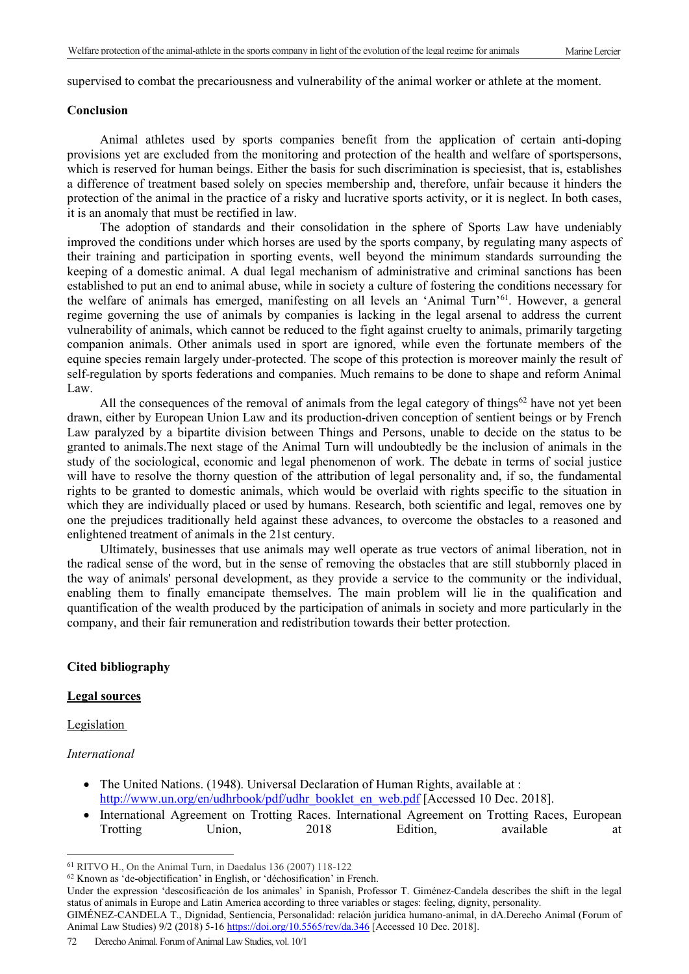supervised to combat the precariousness and vulnerability of the animal worker or athlete at the moment.

#### **Conclusion**

Animal athletes used by sports companies benefit from the application of certain anti-doping provisions yet are excluded from the monitoring and protection of the health and welfare of sportspersons, which is reserved for human beings. Either the basis for such discrimination is speciesist, that is, establishes a difference of treatment based solely on species membership and, therefore, unfair because it hinders the protection of the animal in the practice of a risky and lucrative sports activity, or it is neglect. In both cases, it is an anomaly that must be rectified in law.

The adoption of standards and their consolidation in the sphere of Sports Law have undeniably improved the conditions under which horses are used by the sports company, by regulating many aspects of their training and participation in sporting events, well beyond the minimum standards surrounding the keeping of a domestic animal. A dual legal mechanism of administrative and criminal sanctions has been established to put an end to animal abuse, while in society a culture of fostering the conditions necessary for the welfare of animals has emerged, manifesting on all levels an 'Animal Turn'[61.](#page-13-0) However, a general regime governing the use of animals by companies is lacking in the legal arsenal to address the current vulnerability of animals, which cannot be reduced to the fight against cruelty to animals, primarily targeting companion animals. Other animals used in sport are ignored, while even the fortunate members of the equine species remain largely under-protected. The scope of this protection is moreover mainly the result of self-regulation by sports federations and companies. Much remains to be done to shape and reform Animal Law.

All the consequences of the removal of animals from the legal category of things<sup>[62](#page-13-1)</sup> have not yet been drawn, either by European Union Law and its production-driven conception of sentient beings or by French Law paralyzed by a bipartite division between Things and Persons, unable to decide on the status to be granted to animals.The next stage of the Animal Turn will undoubtedly be the inclusion of animals in the study of the sociological, economic and legal phenomenon of work. The debate in terms of social justice will have to resolve the thorny question of the attribution of legal personality and, if so, the fundamental rights to be granted to domestic animals, which would be overlaid with rights specific to the situation in which they are individually placed or used by humans. Research, both scientific and legal, removes one by one the prejudices traditionally held against these advances, to overcome the obstacles to a reasoned and enlightened treatment of animals in the 21st century.

Ultimately, businesses that use animals may well operate as true vectors of animal liberation, not in the radical sense of the word, but in the sense of removing the obstacles that are still stubbornly placed in the way of animals' personal development, as they provide a service to the community or the individual, enabling them to finally emancipate themselves. The main problem will lie in the qualification and quantification of the wealth produced by the participation of animals in society and more particularly in the company, and their fair remuneration and redistribution towards their better protection.

## **Cited bibliography**

#### **Legal sources**

**Legislation** 

## *International*

 $\overline{a}$ 

- The United Nations. (1948). Universal Declaration of Human Rights, available at : [http://www.un.org/en/udhrbook/pdf/udhr\\_booklet\\_en\\_web.pdf](http://www.un.org/en/udhrbook/pdf/udhr_booklet_en_web.pdf) [Accessed 10 Dec. 2018].
- International Agreement on Trotting Races. International Agreement on Trotting Races, European Trotting Union, 2018 Edition, available at

<span id="page-13-0"></span><sup>61</sup> RITVO H., On the Animal Turn, in Daedalus 136 (2007) 118-122

<span id="page-13-1"></span><sup>62</sup> Known as 'de-objectification' in English, or 'déchosification' in French.

Under the expression 'descosificación de los animales' in Spanish, Professor T. Giménez-Candela describes the shift in the legal status of animals in Europe and Latin America according to three variables or stages: feeling, dignity, personality.

GIMÉNEZ-CANDELA T., Dignidad, Sentiencia, Personalidad: relación jurídica humano-animal, in dA.Derecho Animal (Forum of Animal Law Studies) 9/2 (2018) 5-16<https://doi.org/10.5565/rev/da.346> [Accessed 10 Dec. 2018].

<sup>72</sup> Derecho Animal. Forum of Animal Law Studies, vol. 10/1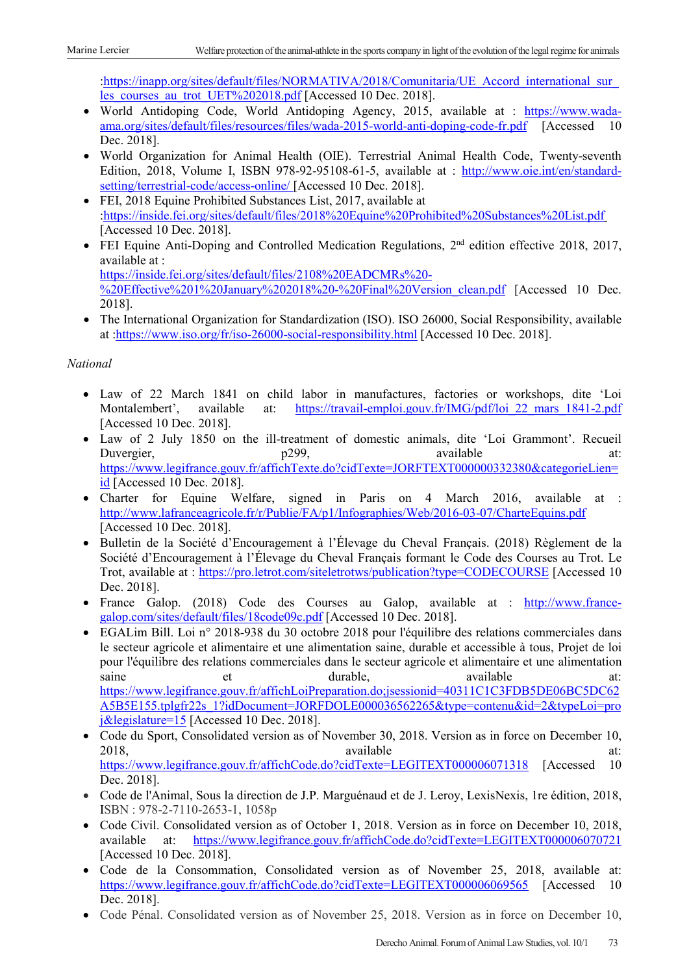:https://inapp.org/sites/default/files/NORMATIVA/2018/Comunitaria/UE\_Accord\_international\_sur les courses au trot UET%202018.pdf [Accessed 10 Dec. 2018].

- World Antidoping Code, World Antidoping Agency, 2015, available at : [https://www.wada](https://www.wada-ama.org/sites/default/files/resources/files/wada-2015-world-anti-doping-code-fr.pdf)[ama.org/sites/default/files/resources/files/wada-2015-world-anti-doping-code-fr.pdf](https://www.wada-ama.org/sites/default/files/resources/files/wada-2015-world-anti-doping-code-fr.pdf) [Accessed 10 Dec. 2018].
- World Organization for Animal Health (OIE). Terrestrial Animal Health Code, Twenty-seventh Edition, 2018, Volume I, ISBN 978-92-95108-61-5, available at : [http://www.oie.int/en/standard](http://www.oie.int/en/standard-setting/terrestrial-code/access-online/)[setting/terrestrial-code/access-online/](http://www.oie.int/en/standard-setting/terrestrial-code/access-online/) [Accessed 10 Dec. 2018].
- FEI, 2018 Equine Prohibited Substances List, 2017, available at [:https://inside.fei.org/sites/default/files/2018%20Equine%20Prohibited%20Substances%20List.pdf](https://inside.fei.org/sites/default/files/2018%20Equine%20Prohibited%20Substances%20List.pdf) [Accessed 10 Dec. 2018].
- FEI Equine Anti-Doping and Controlled Medication Regulations, 2<sup>nd</sup> edition effective 2018, 2017, available at : [https://inside.fei.org/sites/default/files/2108%20EADCMRs%20-](https://inside.fei.org/sites/default/files/2108%20EADCMRs%20-%20Effective%201%20January%202018%20-%20Final%20Version_clean.pdf) [%20Effective%201%20January%202018%20-%20Final%20Version\\_clean.pdf](https://inside.fei.org/sites/default/files/2108%20EADCMRs%20-%20Effective%201%20January%202018%20-%20Final%20Version_clean.pdf) [Accessed 10 Dec. 2018].
- The International Organization for Standardization (ISO). ISO 26000, Social Responsibility, available at [:https://www.iso.org/fr/iso-26000-social-responsibility.html](https://www.iso.org/fr/iso-26000-social-responsibility.html) [Accessed 10 Dec. 2018].

# *National*

- Law of 22 March 1841 on child labor in manufactures, factories or workshops, dite 'Loi Montalembert', available at: https://travail-emploi.gouv.fr/IMG/pdf/loi 22 mars 1841-2.pdf available at: https://travail-emploi.gouv.fr/IMG/pdf/loi 22 mars 1841-2.pdf [Accessed 10 Dec. 2018].
- Law of 2 July 1850 on the ill-treatment of domestic animals, dite 'Loi Grammont'. Recueil Duvergier, and the p299, the p299, available at: [https://www.legifrance.gouv.fr/affichTexte.do?cidTexte=JORFTEXT000000332380&categorieLien=](https://www.legifrance.gouv.fr/affichTexte.do?cidTexte=JORFTEXT000000332380&categorieLien=id) [id](https://www.legifrance.gouv.fr/affichTexte.do?cidTexte=JORFTEXT000000332380&categorieLien=id) [Accessed 10 Dec. 2018].
- Charter for Equine Welfare, signed in Paris on 4 March 2016, available at : <http://www.lafranceagricole.fr/r/Publie/FA/p1/Infographies/Web/2016-03-07/CharteEquins.pdf> [Accessed 10 Dec. 2018].
- Bulletin de la Société d'Encouragement à l'Élevage du Cheval Français. (2018) Règlement de la Société d'Encouragement à l'Élevage du Cheval Français formant le Code des Courses au Trot. Le Trot, available at : <https://pro.letrot.com/siteletrotws/publication?type=CODECOURSE> [Accessed 10 Dec. 2018].
- France Galop. (2018) Code des Courses au Galop, available at : [http://www.france](http://www.france-galop.com/sites/default/files/18code09c.pdf)[galop.com/sites/default/files/18code09c.pdf](http://www.france-galop.com/sites/default/files/18code09c.pdf) [Accessed 10 Dec. 2018].
- EGALim Bill. Loi n° 2018-938 du 30 octobre 2018 pour l'équilibre des relations commerciales dans le secteur agricole et alimentaire et une alimentation saine, durable et accessible à tous, Projet de loi pour l'équilibre des relations commerciales dans le secteur agricole et alimentaire et une alimentation saine et et durable, available at: [https://www.legifrance.gouv.fr/affichLoiPreparation.do;jsessionid=40311C1C3FDB5DE06BC5DC62](https://www.legifrance.gouv.fr/affichLoiPreparation.do;jsessionid=40311C1C3FDB5DE06BC5DC62A5B5E155.tplgfr22s_1?idDocument=JORFDOLE000036562265&type=contenu&id=2&typeLoi=proj&legislature=15) [A5B5E155.tplgfr22s\\_1?idDocument=JORFDOLE000036562265&type=contenu&id=2&typeLoi=pro](https://www.legifrance.gouv.fr/affichLoiPreparation.do;jsessionid=40311C1C3FDB5DE06BC5DC62A5B5E155.tplgfr22s_1?idDocument=JORFDOLE000036562265&type=contenu&id=2&typeLoi=proj&legislature=15) [j&legislature=15](https://www.legifrance.gouv.fr/affichLoiPreparation.do;jsessionid=40311C1C3FDB5DE06BC5DC62A5B5E155.tplgfr22s_1?idDocument=JORFDOLE000036562265&type=contenu&id=2&typeLoi=proj&legislature=15) [Accessed 10 Dec. 2018].
- Code du Sport, Consolidated version as of November 30, 2018. Version as in force on December 10, 2018, available at: <https://www.legifrance.gouv.fr/affichCode.do?cidTexte=LEGITEXT000006071318> [Accessed 10 Dec. 2018].
- Code de l'Animal, Sous la direction de J.P. Marguénaud et de J. Leroy, LexisNexis, 1re édition, 2018, ISBN : 978-2-7110-2653-1, 1058p
- Code Civil. Consolidated version as of October 1, 2018. Version as in force on December 10, 2018, available at: <https://www.legifrance.gouv.fr/affichCode.do?cidTexte=LEGITEXT000006070721> [Accessed 10 Dec. 2018].
- Code de la Consommation, Consolidated version as of November 25, 2018, available at: <https://www.legifrance.gouv.fr/affichCode.do?cidTexte=LEGITEXT000006069565> [Accessed 10 Dec. 2018].
- Code Pénal. Consolidated version as of November 25, 2018. Version as in force on December 10,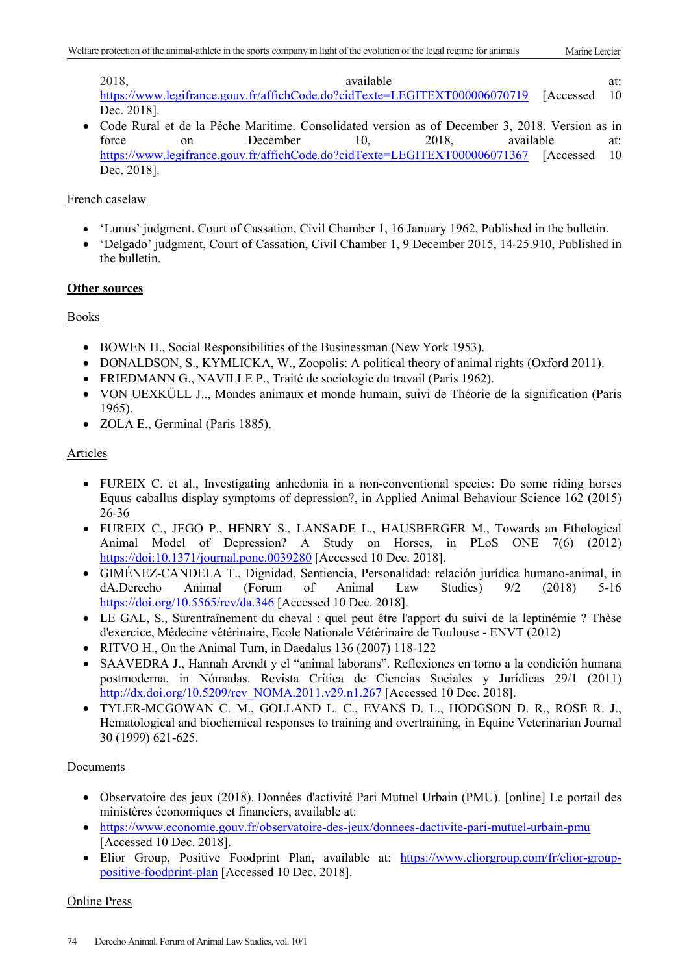2018, available at: <https://www.legifrance.gouv.fr/affichCode.do?cidTexte=LEGITEXT000006070719> [Accessed 10 Dec. 2018].

• Code Rural et de la Pêche Maritime. Consolidated version as of December 3, 2018. Version as in force on December 10, 2018, available at: force on December 10, 2018, available at: <https://www.legifrance.gouv.fr/affichCode.do?cidTexte=LEGITEXT000006071367> [Accessed 10 Dec. 2018].

# French caselaw

- 'Lunus' judgment. Court of Cassation, Civil Chamber 1, 16 January 1962, Published in the bulletin.
- 'Delgado' judgment, Court of Cassation, Civil Chamber 1, 9 December 2015, 14-25.910, Published in the bulletin.

# **Other sources**

Books

- BOWEN H., Social Responsibilities of the Businessman (New York 1953).
- DONALDSON, S., KYMLICKA, W., Zoopolis: A political theory of animal rights (Oxford 2011).
- FRIEDMANN G., NAVILLE P., Traité de sociologie du travail (Paris 1962).
- VON UEXKÜLL J.., Mondes animaux et monde humain, suivi de Théorie de la signification (Paris 1965).
- ZOLA E., Germinal (Paris 1885).

# Articles

- FUREIX C. et al., Investigating anhedonia in a non-conventional species: Do some riding horses Equus caballus display symptoms of depression?, in Applied Animal Behaviour Science 162 (2015) 26-36
- FUREIX C., JEGO P., HENRY S., LANSADE L., HAUSBERGER M., Towards an Ethological Animal Model of Depression? A Study on Horses, in PLoS ONE 7(6) (2012) <https://doi:10.1371/journal.pone.0039280> [Accessed 10 Dec. 2018].
- GIMÉNEZ-CANDELA T., Dignidad, Sentiencia, Personalidad: relación jurídica humano-animal, in dA.Derecho Animal (Forum of Animal Law Studies) 9/2 (2018) 5-16 <https://doi.org/10.5565/rev/da.346> [Accessed 10 Dec. 2018].
- LE GAL, S., Surentraînement du cheval : quel peut être l'apport du suivi de la leptinémie ? Thèse d'exercice, Médecine vétérinaire, Ecole Nationale Vétérinaire de Toulouse - ENVT (2012)
- RITVO H., On the Animal Turn, in Daedalus 136 (2007) 118-122
- SAAVEDRA J., Hannah Arendt y el "animal laborans". Reflexiones en torno a la condición humana postmoderna, in Nómadas. Revista Crítica de Ciencias Sociales y Jurídicas 29/1 (2011) [http://dx.doi.org/10.5209/rev\\_NOMA.2011.v29.n1.267](http://dx.doi.org/10.5209/rev_NOMA.2011.v29.n1.267) [Accessed 10 Dec. 2018].
- TYLER-MCGOWAN C. M., GOLLAND L. C., EVANS D. L., HODGSON D. R., ROSE R. J., Hematological and biochemical responses to training and overtraining, in Equine Veterinarian Journal 30 (1999) 621-625.

# Documents

- Observatoire des jeux (2018). Données d'activité Pari Mutuel Urbain (PMU). [online] Le portail des ministères économiques et financiers, available at:
- https://www.economie.gouv.fr/observatoire-des-jeux/donnees-dactivite-pari-mutuel-urbain-pmu [Accessed 10 Dec. 2018].
- Elior Group, Positive Foodprint Plan, available at: [https://www.eliorgroup.com/fr/elior-group](https://www.eliorgroup.com/fr/elior-group-positive-foodprint-plan)[positive-foodprint-plan](https://www.eliorgroup.com/fr/elior-group-positive-foodprint-plan) [Accessed 10 Dec. 2018].

# Online Press